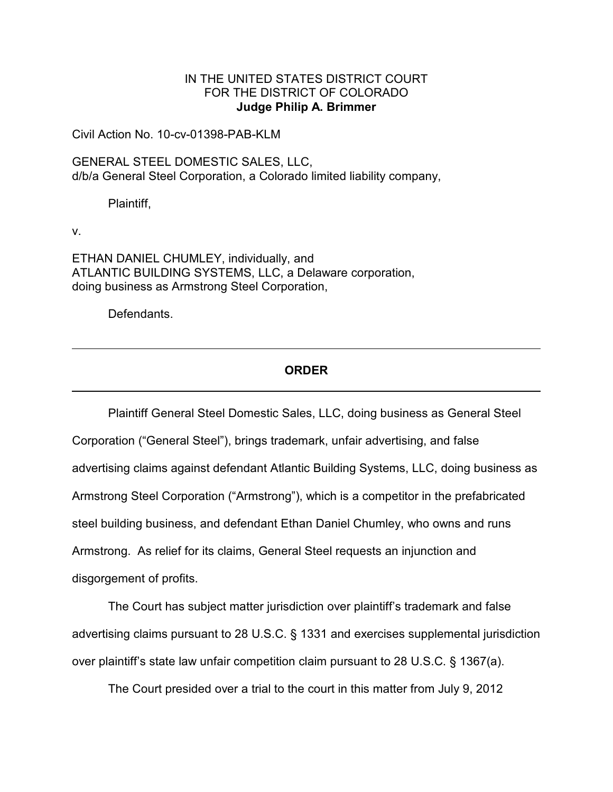## IN THE UNITED STATES DISTRICT COURT FOR THE DISTRICT OF COLORADO **Judge Philip A. Brimmer**

Civil Action No. 10-cv-01398-PAB-KLM

GENERAL STEEL DOMESTIC SALES, LLC, d/b/a General Steel Corporation, a Colorado limited liability company,

Plaintiff,

v.

ETHAN DANIEL CHUMLEY, individually, and ATLANTIC BUILDING SYSTEMS, LLC, a Delaware corporation, doing business as Armstrong Steel Corporation,

Defendants.

# **ORDER**

Plaintiff General Steel Domestic Sales, LLC, doing business as General Steel Corporation ("General Steel"), brings trademark, unfair advertising, and false advertising claims against defendant Atlantic Building Systems, LLC, doing business as Armstrong Steel Corporation ("Armstrong"), which is a competitor in the prefabricated steel building business, and defendant Ethan Daniel Chumley, who owns and runs Armstrong. As relief for its claims, General Steel requests an injunction and disgorgement of profits.

The Court has subject matter jurisdiction over plaintiff's trademark and false advertising claims pursuant to 28 U.S.C. § 1331 and exercises supplemental jurisdiction over plaintiff's state law unfair competition claim pursuant to 28 U.S.C. § 1367(a).

The Court presided over a trial to the court in this matter from July 9, 2012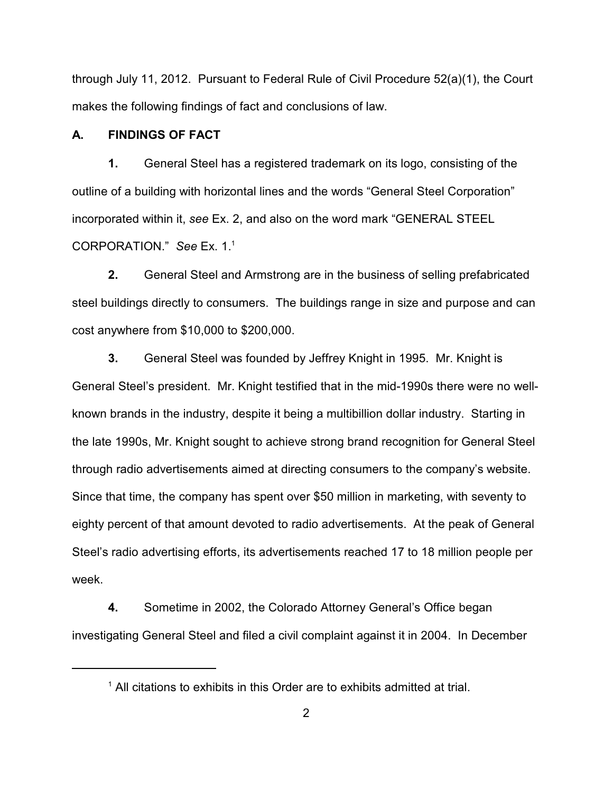through July 11, 2012. Pursuant to Federal Rule of Civil Procedure 52(a)(1), the Court makes the following findings of fact and conclusions of law.

## **A. FINDINGS OF FACT**

**1.** General Steel has a registered trademark on its logo, consisting of the outline of a building with horizontal lines and the words "General Steel Corporation" incorporated within it, *see* Ex. 2, and also on the word mark "GENERAL STEEL CORPORATION." See Ex. 1.<sup>1</sup>

**2.** General Steel and Armstrong are in the business of selling prefabricated steel buildings directly to consumers. The buildings range in size and purpose and can cost anywhere from \$10,000 to \$200,000.

**3.** General Steel was founded by Jeffrey Knight in 1995. Mr. Knight is General Steel's president. Mr. Knight testified that in the mid-1990s there were no wellknown brands in the industry, despite it being a multibillion dollar industry. Starting in the late 1990s, Mr. Knight sought to achieve strong brand recognition for General Steel through radio advertisements aimed at directing consumers to the company's website. Since that time, the company has spent over \$50 million in marketing, with seventy to eighty percent of that amount devoted to radio advertisements. At the peak of General Steel's radio advertising efforts, its advertisements reached 17 to 18 million people per week.

**4.** Sometime in 2002, the Colorado Attorney General's Office began investigating General Steel and filed a civil complaint against it in 2004. In December

 $<sup>1</sup>$  All citations to exhibits in this Order are to exhibits admitted at trial.</sup>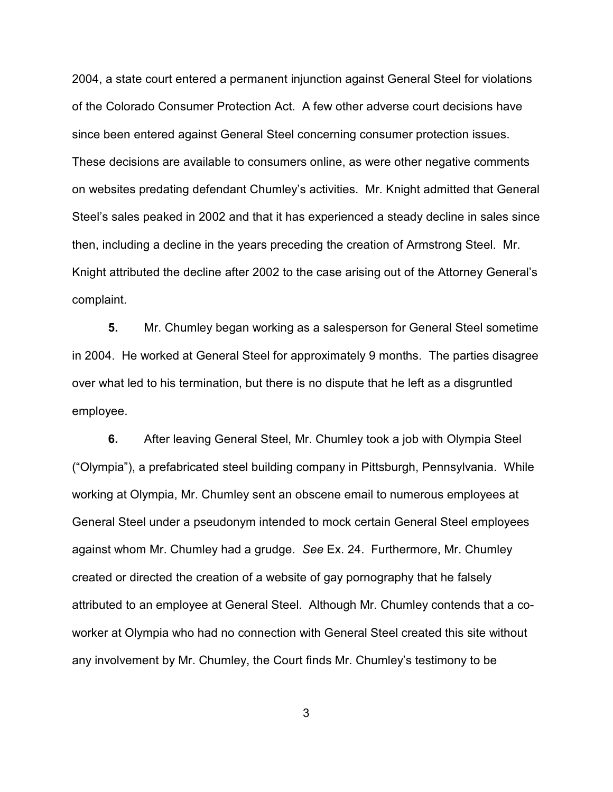2004, a state court entered a permanent injunction against General Steel for violations of the Colorado Consumer Protection Act. A few other adverse court decisions have since been entered against General Steel concerning consumer protection issues. These decisions are available to consumers online, as were other negative comments on websites predating defendant Chumley's activities. Mr. Knight admitted that General Steel's sales peaked in 2002 and that it has experienced a steady decline in sales since then, including a decline in the years preceding the creation of Armstrong Steel. Mr. Knight attributed the decline after 2002 to the case arising out of the Attorney General's complaint.

**5.** Mr. Chumley began working as a salesperson for General Steel sometime in 2004. He worked at General Steel for approximately 9 months. The parties disagree over what led to his termination, but there is no dispute that he left as a disgruntled employee.

**6.** After leaving General Steel, Mr. Chumley took a job with Olympia Steel ("Olympia"), a prefabricated steel building company in Pittsburgh, Pennsylvania. While working at Olympia, Mr. Chumley sent an obscene email to numerous employees at General Steel under a pseudonym intended to mock certain General Steel employees against whom Mr. Chumley had a grudge. *See* Ex. 24. Furthermore, Mr. Chumley created or directed the creation of a website of gay pornography that he falsely attributed to an employee at General Steel. Although Mr. Chumley contends that a coworker at Olympia who had no connection with General Steel created this site without any involvement by Mr. Chumley, the Court finds Mr. Chumley's testimony to be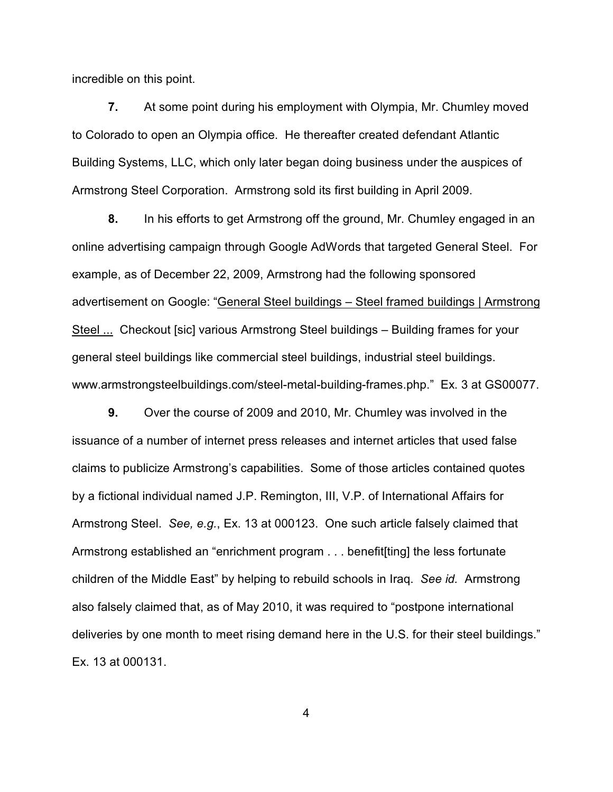incredible on this point.

**7.** At some point during his employment with Olympia, Mr. Chumley moved to Colorado to open an Olympia office. He thereafter created defendant Atlantic Building Systems, LLC, which only later began doing business under the auspices of Armstrong Steel Corporation. Armstrong sold its first building in April 2009.

**8.** In his efforts to get Armstrong off the ground, Mr. Chumley engaged in an online advertising campaign through Google AdWords that targeted General Steel. For example, as of December 22, 2009, Armstrong had the following sponsored advertisement on Google: "General Steel buildings – Steel framed buildings | Armstrong Steel ... Checkout [sic] various Armstrong Steel buildings – Building frames for your general steel buildings like commercial steel buildings, industrial steel buildings. www.armstrongsteelbuildings.com/steel-metal-building-frames.php." Ex. 3 at GS00077.

**9.** Over the course of 2009 and 2010, Mr. Chumley was involved in the issuance of a number of internet press releases and internet articles that used false claims to publicize Armstrong's capabilities. Some of those articles contained quotes by a fictional individual named J.P. Remington, III, V.P. of International Affairs for Armstrong Steel. *See, e.g.*, Ex. 13 at 000123. One such article falsely claimed that Armstrong established an "enrichment program . . . benefit[ting] the less fortunate children of the Middle East" by helping to rebuild schools in Iraq. *See id.* Armstrong also falsely claimed that, as of May 2010, it was required to "postpone international deliveries by one month to meet rising demand here in the U.S. for their steel buildings." Ex. 13 at 000131.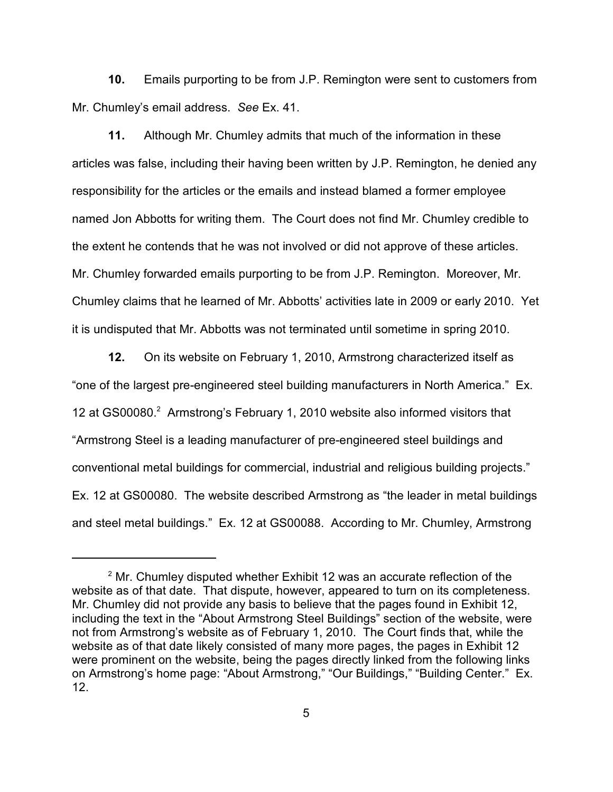**10.** Emails purporting to be from J.P. Remington were sent to customers from Mr. Chumley's email address. *See* Ex. 41.

**11.** Although Mr. Chumley admits that much of the information in these articles was false, including their having been written by J.P. Remington, he denied any responsibility for the articles or the emails and instead blamed a former employee named Jon Abbotts for writing them. The Court does not find Mr. Chumley credible to the extent he contends that he was not involved or did not approve of these articles. Mr. Chumley forwarded emails purporting to be from J.P. Remington. Moreover, Mr. Chumley claims that he learned of Mr. Abbotts' activities late in 2009 or early 2010. Yet it is undisputed that Mr. Abbotts was not terminated until sometime in spring 2010.

**12.** On its website on February 1, 2010, Armstrong characterized itself as "one of the largest pre-engineered steel building manufacturers in North America." Ex. 12 at GS00080.<sup>2</sup> Armstrong's February 1, 2010 website also informed visitors that "Armstrong Steel is a leading manufacturer of pre-engineered steel buildings and conventional metal buildings for commercial, industrial and religious building projects." Ex. 12 at GS00080. The website described Armstrong as "the leader in metal buildings and steel metal buildings." Ex. 12 at GS00088. According to Mr. Chumley, Armstrong

 $2^{\circ}$  Mr. Chumley disputed whether Exhibit 12 was an accurate reflection of the website as of that date. That dispute, however, appeared to turn on its completeness. Mr. Chumley did not provide any basis to believe that the pages found in Exhibit 12, including the text in the "About Armstrong Steel Buildings" section of the website, were not from Armstrong's website as of February 1, 2010. The Court finds that, while the website as of that date likely consisted of many more pages, the pages in Exhibit 12 were prominent on the website, being the pages directly linked from the following links on Armstrong's home page: "About Armstrong," "Our Buildings," "Building Center." Ex. 12.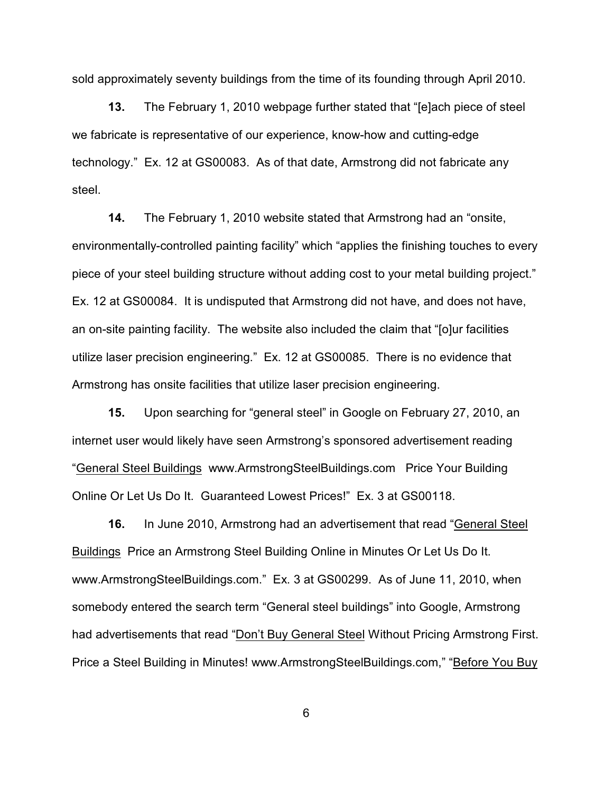sold approximately seventy buildings from the time of its founding through April 2010.

**13.** The February 1, 2010 webpage further stated that "[e]ach piece of steel we fabricate is representative of our experience, know-how and cutting-edge technology." Ex. 12 at GS00083. As of that date, Armstrong did not fabricate any steel.

**14.** The February 1, 2010 website stated that Armstrong had an "onsite, environmentally-controlled painting facility" which "applies the finishing touches to every piece of your steel building structure without adding cost to your metal building project." Ex. 12 at GS00084. It is undisputed that Armstrong did not have, and does not have, an on-site painting facility.The website also included the claim that "[o]ur facilities utilize laser precision engineering." Ex. 12 at GS00085. There is no evidence that Armstrong has onsite facilities that utilize laser precision engineering.

**15.** Upon searching for "general steel" in Google on February 27, 2010, an internet user would likely have seen Armstrong's sponsored advertisement reading "General Steel Buildings www.ArmstrongSteelBuildings.com Price Your Building Online Or Let Us Do It. Guaranteed Lowest Prices!" Ex. 3 at GS00118.

**16.** In June 2010, Armstrong had an advertisement that read "General Steel Buildings Price an Armstrong Steel Building Online in Minutes Or Let Us Do It. www.ArmstrongSteelBuildings.com." Ex. 3 at GS00299. As of June 11, 2010, when somebody entered the search term "General steel buildings" into Google, Armstrong had advertisements that read "Don't Buy General Steel Without Pricing Armstrong First. Price a Steel Building in Minutes! www.ArmstrongSteelBuildings.com," "Before You Buy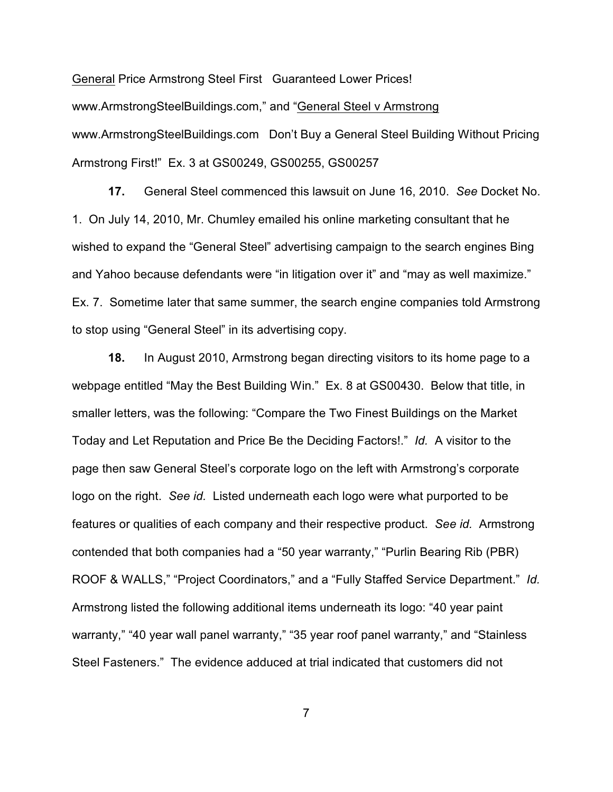General Price Armstrong Steel First Guaranteed Lower Prices! www.ArmstrongSteelBuildings.com," and "General Steel v Armstrong www.ArmstrongSteelBuildings.comDon't Buy a General Steel Building Without Pricing Armstrong First!"Ex. 3 at GS00249, GS00255, GS00257

**17.** General Steel commenced this lawsuit on June 16, 2010. *See* Docket No. 1. On July 14, 2010, Mr. Chumley emailed his online marketing consultant that he wished to expand the "General Steel" advertising campaign to the search engines Bing and Yahoo because defendants were "in litigation over it" and "may as well maximize." Ex. 7. Sometime later that same summer, the search engine companies told Armstrong to stop using "General Steel" in its advertising copy.

**18.** In August 2010, Armstrong began directing visitors to its home page to a webpage entitled "May the Best Building Win." Ex. 8 at GS00430. Below that title, in smaller letters, was the following: "Compare the Two Finest Buildings on the Market Today and Let Reputation and Price Be the Deciding Factors!." *Id.* A visitor to the page then saw General Steel's corporate logo on the left with Armstrong's corporate logo on the right. *See id.* Listed underneath each logo were what purported to be features or qualities of each company and their respective product. *See id.* Armstrong contended that both companies had a "50 year warranty," "Purlin Bearing Rib (PBR) ROOF & WALLS," "Project Coordinators," and a "Fully Staffed Service Department." *Id.* Armstrong listed the following additional items underneath its logo: "40 year paint warranty," "40 year wall panel warranty," "35 year roof panel warranty," and "Stainless Steel Fasteners." The evidence adduced at trial indicated that customers did not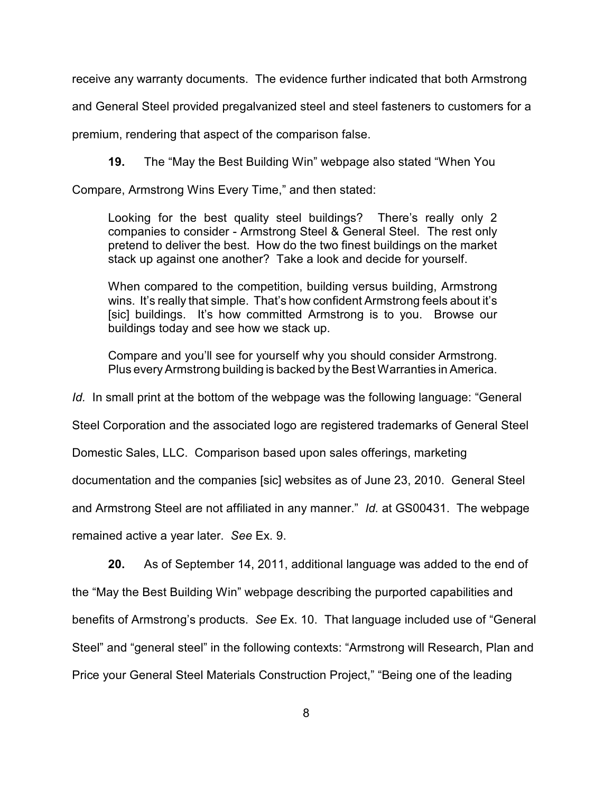receive any warranty documents. The evidence further indicated that both Armstrong

and General Steel provided pregalvanized steel and steel fasteners to customers for a

premium, rendering that aspect of the comparison false.

**19.** The "May the Best Building Win" webpage also stated "When You

Compare, Armstrong Wins Every Time," and then stated:

Looking for the best quality steel buildings? There's really only 2 companies to consider - Armstrong Steel & General Steel. The rest only pretend to deliver the best. How do the two finest buildings on the market stack up against one another? Take a look and decide for yourself.

When compared to the competition, building versus building, Armstrong wins. It's really that simple. That's how confident Armstrong feels about it's [sic] buildings. It's how committed Armstrong is to you. Browse our buildings today and see how we stack up.

Compare and you'll see for yourself why you should consider Armstrong. Plus every Armstrong building is backed by the Best Warranties in America.

*Id.* In small print at the bottom of the webpage was the following language: "General

Steel Corporation and the associated logo are registered trademarks of General Steel

Domestic Sales, LLC. Comparison based upon sales offerings, marketing

documentation and the companies [sic] websites as of June 23, 2010. General Steel

and Armstrong Steel are not affiliated in any manner." *Id.* at GS00431. The webpage

remained active a year later. *See* Ex. 9.

**20.** As of September 14, 2011, additional language was added to the end of the "May the Best Building Win" webpage describing the purported capabilities and benefits of Armstrong's products. *See* Ex. 10. That language included use of "General Steel" and "general steel" in the following contexts: "Armstrong will Research, Plan and Price your General Steel Materials Construction Project," "Being one of the leading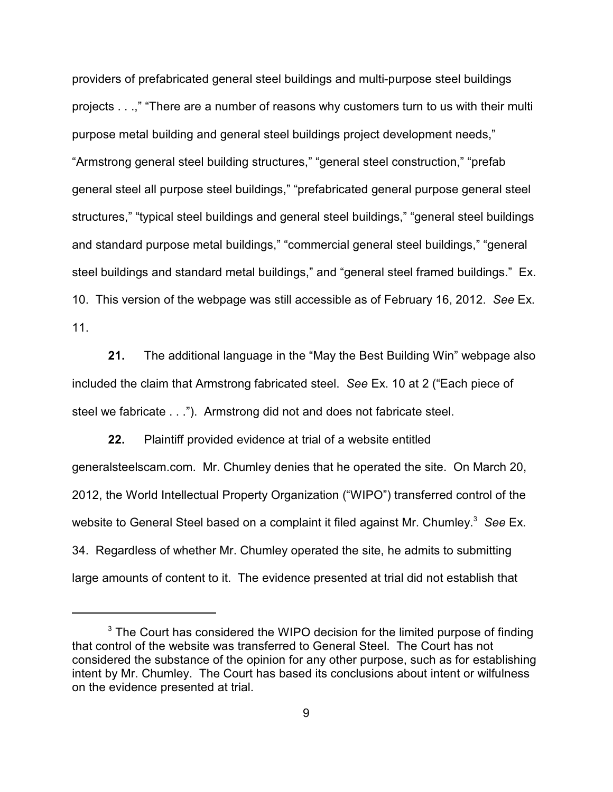providers of prefabricated general steel buildings and multi-purpose steel buildings projects . . .," "There are a number of reasons why customers turn to us with their multi purpose metal building and general steel buildings project development needs," "Armstrong general steel building structures," "general steel construction," "prefab general steel all purpose steel buildings," "prefabricated general purpose general steel structures," "typical steel buildings and general steel buildings," "general steel buildings and standard purpose metal buildings," "commercial general steel buildings," "general steel buildings and standard metal buildings," and "general steel framed buildings." Ex. 10. This version of the webpage was still accessible as of February 16, 2012. *See* Ex. 11.

**21.** The additional language in the "May the Best Building Win" webpage also included the claim that Armstrong fabricated steel. *See* Ex. 10 at 2 ("Each piece of steel we fabricate . . ."). Armstrong did not and does not fabricate steel.

**22.** Plaintiff provided evidence at trial of a website entitled generalsteelscam.com. Mr. Chumley denies that he operated the site. On March 20, 2012, the World Intellectual Property Organization ("WIPO") transferred control of the website to General Steel based on a complaint it filed against Mr. Chumley.<sup>3</sup> See Ex. 34. Regardless of whether Mr. Chumley operated the site, he admits to submitting large amounts of content to it. The evidence presented at trial did not establish that

 $3$  The Court has considered the WIPO decision for the limited purpose of finding that control of the website was transferred to General Steel. The Court has not considered the substance of the opinion for any other purpose, such as for establishing intent by Mr. Chumley. The Court has based its conclusions about intent or wilfulness on the evidence presented at trial.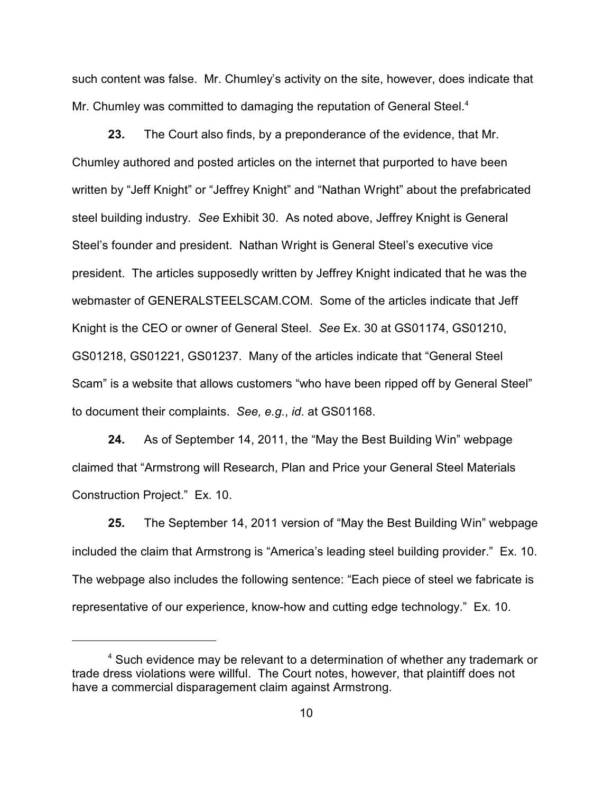such content was false. Mr. Chumley's activity on the site, however, does indicate that Mr. Chumley was committed to damaging the reputation of General Steel.<sup>4</sup>

**23.** The Court also finds, by a preponderance of the evidence, that Mr. Chumley authored and posted articles on the internet that purported to have been written by "Jeff Knight" or "Jeffrey Knight" and "Nathan Wright" about the prefabricated steel building industry. *See* Exhibit 30. As noted above, Jeffrey Knight is General Steel's founder and president. Nathan Wright is General Steel's executive vice president. The articles supposedly written by Jeffrey Knight indicated that he was the webmaster of GENERALSTEELSCAM.COM. Some of the articles indicate that Jeff Knight is the CEO or owner of General Steel. *See* Ex. 30 at GS01174, GS01210, GS01218, GS01221, GS01237. Many of the articles indicate that "General Steel Scam" is a website that allows customers "who have been ripped off by General Steel" to document their complaints. *See, e.g.*, *id*. at GS01168.

**24.** As of September 14, 2011, the "May the Best Building Win" webpage claimed that "Armstrong will Research, Plan and Price your General Steel Materials Construction Project." Ex. 10.

**25.** The September 14, 2011 version of "May the Best Building Win" webpage included the claim that Armstrong is "America's leading steel building provider." Ex. 10. The webpage also includes the following sentence: "Each piece of steel we fabricate is representative of our experience, know-how and cutting edge technology." Ex. 10.

 $4$  Such evidence may be relevant to a determination of whether any trademark or trade dress violations were willful. The Court notes, however, that plaintiff does not have a commercial disparagement claim against Armstrong.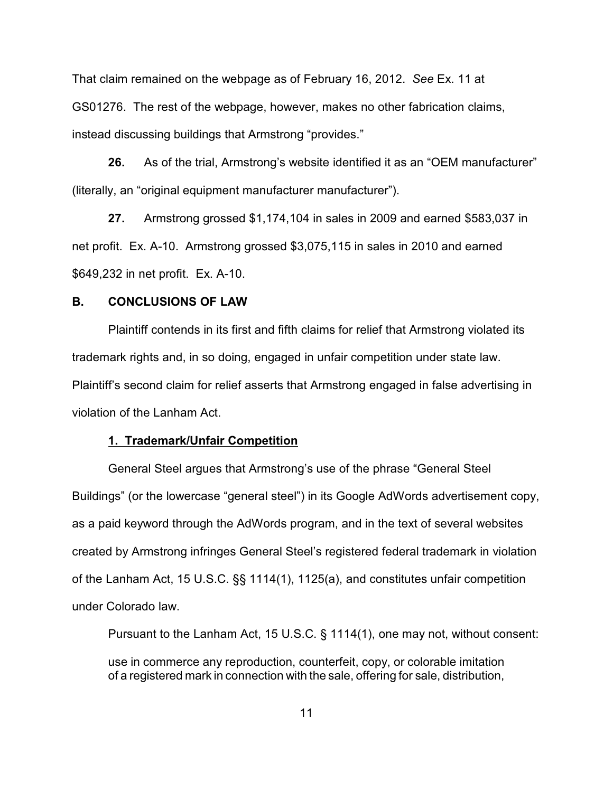That claim remained on the webpage as of February 16, 2012. *See* Ex. 11 at GS01276. The rest of the webpage, however, makes no other fabrication claims, instead discussing buildings that Armstrong "provides."

**26.** As of the trial, Armstrong's website identified it as an "OEM manufacturer" (literally, an "original equipment manufacturer manufacturer").

**27.** Armstrong grossed \$1,174,104 in sales in 2009 and earned \$583,037 in net profit. Ex. A-10. Armstrong grossed \$3,075,115 in sales in 2010 and earned \$649,232 in net profit. Ex. A-10.

## **B. CONCLUSIONS OF LAW**

Plaintiff contends in its first and fifth claims for relief that Armstrong violated its trademark rights and, in so doing, engaged in unfair competition under state law. Plaintiff's second claim for relief asserts that Armstrong engaged in false advertising in violation of the Lanham Act.

### **1. Trademark/Unfair Competition**

General Steel argues that Armstrong's use of the phrase "General Steel Buildings" (or the lowercase "general steel") in its Google AdWords advertisement copy, as a paid keyword through the AdWords program, and in the text of several websites created by Armstrong infringes General Steel's registered federal trademark in violation of the Lanham Act, 15 U.S.C. §§ 1114(1), 1125(a), and constitutes unfair competition under Colorado law.

Pursuant to the Lanham Act, 15 U.S.C. § 1114(1), one may not, without consent: use in commerce any reproduction, counterfeit, copy, or colorable imitation of a registered mark in connection with the sale, offering for sale, distribution,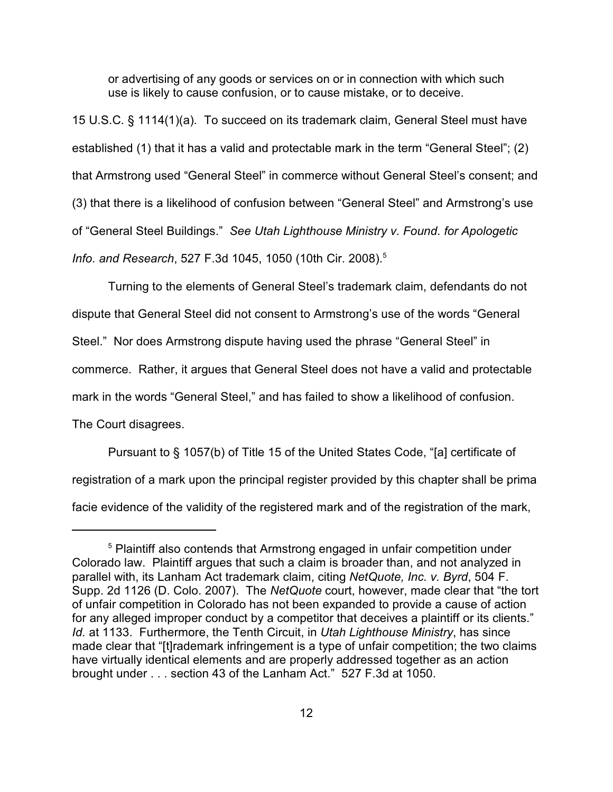or advertising of any goods or services on or in connection with which such use is likely to cause confusion, or to cause mistake, or to deceive.

15 U.S.C. § 1114(1)(a). To succeed on its trademark claim, General Steel must have established (1) that it has a valid and protectable mark in the term "General Steel"; (2) that Armstrong used "General Steel" in commerce without General Steel's consent; and (3) that there is a likelihood of confusion between "General Steel" and Armstrong's use of "General Steel Buildings." *See Utah Lighthouse Ministry v. Found. for Apologetic Info. and Research*, 527 F.3d 1045, 1050 (10th Cir. 2008).<sup>5</sup>

Turning to the elements of General Steel's trademark claim, defendants do not dispute that General Steel did not consent to Armstrong's use of the words "General Steel." Nor does Armstrong dispute having used the phrase "General Steel" in commerce. Rather, it argues that General Steel does not have a valid and protectable mark in the words "General Steel," and has failed to show a likelihood of confusion. The Court disagrees.

Pursuant to § 1057(b) of Title 15 of the United States Code, "[a] certificate of registration of a mark upon the principal register provided by this chapter shall be prima facie evidence of the validity of the registered mark and of the registration of the mark,

 $5$  Plaintiff also contends that Armstrong engaged in unfair competition under Colorado law. Plaintiff argues that such a claim is broader than, and not analyzed in parallel with, its Lanham Act trademark claim, citing *NetQuote, Inc. v. Byrd*, 504 F. Supp. 2d 1126 (D. Colo. 2007). The *NetQuote* court, however, made clear that "the tort of unfair competition in Colorado has not been expanded to provide a cause of action for any alleged improper conduct by a competitor that deceives a plaintiff or its clients." *Id.* at 1133. Furthermore, the Tenth Circuit, in *Utah Lighthouse Ministry*, has since made clear that "[t]rademark infringement is a type of unfair competition; the two claims have virtually identical elements and are properly addressed together as an action brought under . . . section 43 of the Lanham Act." 527 F.3d at 1050.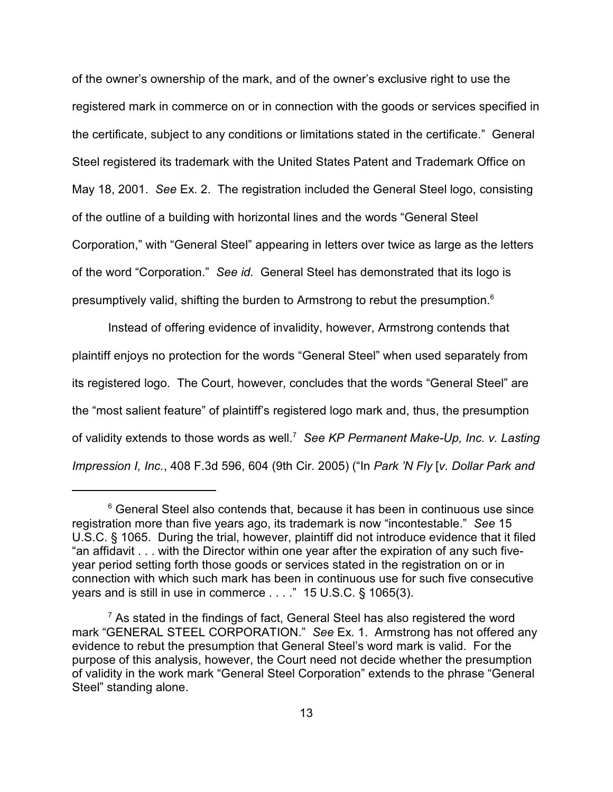of the owner's ownership of the mark, and of the owner's exclusive right to use the registered mark in commerce on or in connection with the goods or services specified in the certificate, subject to any conditions or limitations stated in the certificate." General Steel registered its trademark with the United States Patent and Trademark Office on May 18, 2001. *See* Ex. 2. The registration included the General Steel logo, consisting of the outline of a building with horizontal lines and the words "General Steel Corporation," with "General Steel" appearing in letters over twice as large as the letters of the word "Corporation." *See id.* General Steel has demonstrated that its logo is presumptively valid, shifting the burden to Armstrong to rebut the presumption. $^{\rm 6}$ 

Instead of offering evidence of invalidity, however, Armstrong contends that plaintiff enjoys no protection for the words "General Steel" when used separately from its registered logo. The Court, however, concludes that the words "General Steel" are the "most salient feature" of plaintiff's registered logo mark and, thus, the presumption of validity extends to those words as well.<sup>7</sup> See KP Permanent Make-Up, Inc. v. Lasting *Impression I, Inc.*, 408 F.3d 596, 604 (9th Cir. 2005) ("In *Park 'N Fly* [*v. Dollar Park and*

 $6$  General Steel also contends that, because it has been in continuous use since registration more than five years ago, its trademark is now "incontestable." *See* 15 U.S.C. § 1065. During the trial, however, plaintiff did not introduce evidence that it filed "an affidavit . . . with the Director within one year after the expiration of any such fiveyear period setting forth those goods or services stated in the registration on or in connection with which such mark has been in continuous use for such five consecutive years and is still in use in commerce . . . ." 15 U.S.C. § 1065(3).

 $\frac{7}{7}$  As stated in the findings of fact, General Steel has also registered the word mark "GENERAL STEEL CORPORATION." *See* Ex. 1. Armstrong has not offered any evidence to rebut the presumption that General Steel's word mark is valid. For the purpose of this analysis, however, the Court need not decide whether the presumption of validity in the work mark "General Steel Corporation" extends to the phrase "General Steel" standing alone.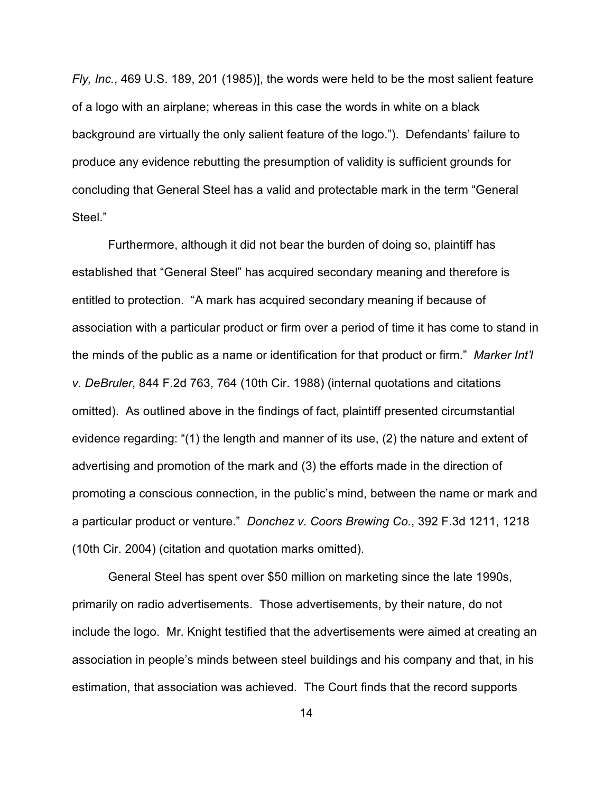*Fly, Inc.*, 469 U.S. 189, 201 (1985)], the words were held to be the most salient feature of a logo with an airplane; whereas in this case the words in white on a black background are virtually the only salient feature of the logo."). Defendants' failure to produce any evidence rebutting the presumption of validity is sufficient grounds for concluding that General Steel has a valid and protectable mark in the term "General Steel."

Furthermore, although it did not bear the burden of doing so, plaintiff has established that "General Steel" has acquired secondary meaning and therefore is entitled to protection. "A mark has acquired secondary meaning if because of association with a particular product or firm over a period of time it has come to stand in the minds of the public as a name or identification for that product or firm." *Marker Int'l v. DeBruler*, 844 F.2d 763, 764 (10th Cir. 1988) (internal quotations and citations omitted). As outlined above in the findings of fact, plaintiff presented circumstantial evidence regarding: "(1) the length and manner of its use, (2) the nature and extent of advertising and promotion of the mark and (3) the efforts made in the direction of promoting a conscious connection, in the public's mind, between the name or mark and a particular product or venture." *Donchez v. Coors Brewing Co.*, 392 F.3d 1211, 1218 (10th Cir. 2004) (citation and quotation marks omitted).

General Steel has spent over \$50 million on marketing since the late 1990s, primarily on radio advertisements. Those advertisements, by their nature, do not include the logo. Mr. Knight testified that the advertisements were aimed at creating an association in people's minds between steel buildings and his company and that, in his estimation, that association was achieved. The Court finds that the record supports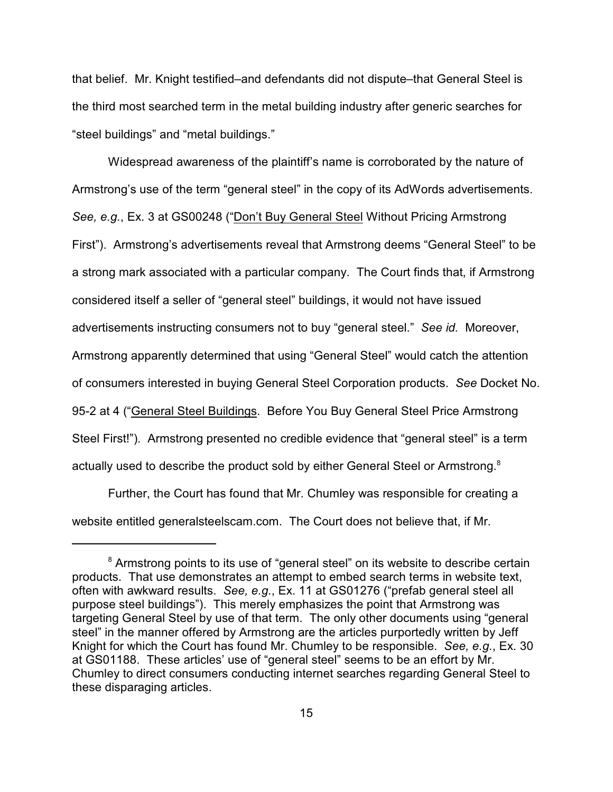that belief. Mr. Knight testified–and defendants did not dispute–that General Steel is the third most searched term in the metal building industry after generic searches for "steel buildings" and "metal buildings."

Widespread awareness of the plaintiff's name is corroborated by the nature of Armstrong's use of the term "general steel" in the copy of its AdWords advertisements. *See, e.g.*, Ex. 3 at GS00248 ("Don't Buy General Steel Without Pricing Armstrong First"). Armstrong's advertisements reveal that Armstrong deems "General Steel" to be a strong mark associated with a particular company. The Court finds that, if Armstrong considered itself a seller of "general steel" buildings, it would not have issued advertisements instructing consumers not to buy "general steel." *See id.* Moreover, Armstrong apparently determined that using "General Steel" would catch the attention of consumers interested in buying General Steel Corporation products. *See* Docket No. 95-2 at 4 ("General Steel Buildings. Before You Buy General Steel Price Armstrong Steel First!"). Armstrong presented no credible evidence that "general steel" is a term actually used to describe the product sold by either General Steel or Armstrong. $8$ 

Further, the Court has found that Mr. Chumley was responsible for creating a website entitled generalsteelscam.com. The Court does not believe that, if Mr.

<sup>&</sup>lt;sup>8</sup> Armstrong points to its use of "general steel" on its website to describe certain products. That use demonstrates an attempt to embed search terms in website text, often with awkward results. *See, e.g.*, Ex. 11 at GS01276 ("prefab general steel all purpose steel buildings"). This merely emphasizes the point that Armstrong was targeting General Steel by use of that term. The only other documents using "general steel" in the manner offered by Armstrong are the articles purportedly written by Jeff Knight for which the Court has found Mr. Chumley to be responsible. *See, e.g.*, Ex. 30 at GS01188. These articles' use of "general steel" seems to be an effort by Mr. Chumley to direct consumers conducting internet searches regarding General Steel to these disparaging articles.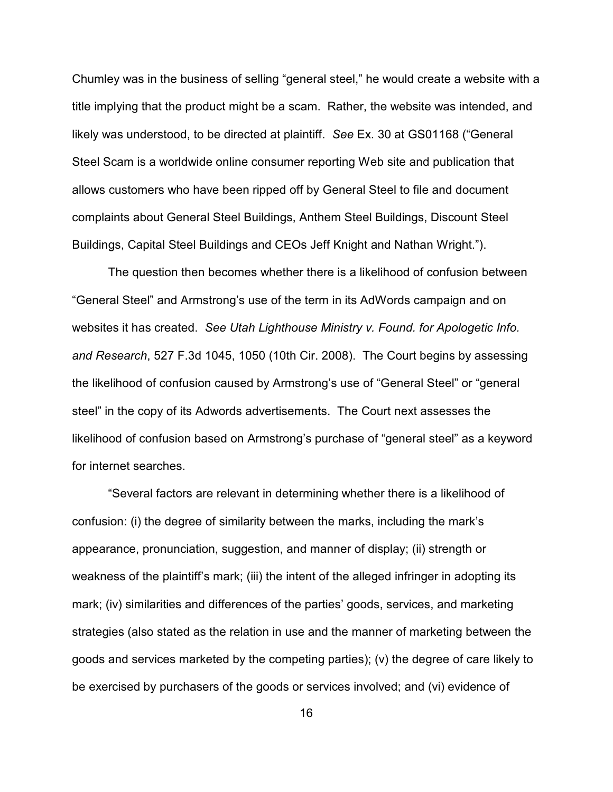Chumley was in the business of selling "general steel," he would create a website with a title implying that the product might be a scam. Rather, the website was intended, and likely was understood, to be directed at plaintiff. *See* Ex. 30 at GS01168 ("General Steel Scam is a worldwide online consumer reporting Web site and publication that allows customers who have been ripped off by General Steel to file and document complaints about General Steel Buildings, Anthem Steel Buildings, Discount Steel Buildings, Capital Steel Buildings and CEOs Jeff Knight and Nathan Wright.").

The question then becomes whether there is a likelihood of confusion between "General Steel" and Armstrong's use of the term in its AdWords campaign and on websites it has created. *See Utah Lighthouse Ministry v. Found. for Apologetic Info. and Research*, 527 F.3d 1045, 1050 (10th Cir. 2008). The Court begins by assessing the likelihood of confusion caused by Armstrong's use of "General Steel" or "general steel" in the copy of its Adwords advertisements. The Court next assesses the likelihood of confusion based on Armstrong's purchase of "general steel" as a keyword for internet searches.

"Several factors are relevant in determining whether there is a likelihood of confusion: (i) the degree of similarity between the marks, including the mark's appearance, pronunciation, suggestion, and manner of display; (ii) strength or weakness of the plaintiff's mark; (iii) the intent of the alleged infringer in adopting its mark; (iv) similarities and differences of the parties' goods, services, and marketing strategies (also stated as the relation in use and the manner of marketing between the goods and services marketed by the competing parties); (v) the degree of care likely to be exercised by purchasers of the goods or services involved; and (vi) evidence of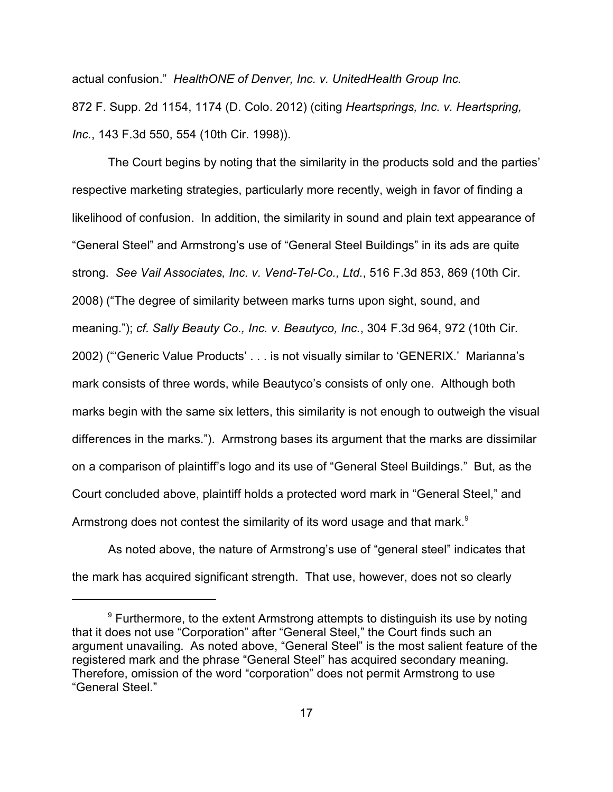actual confusion." *HealthONE of Denver, Inc. v. UnitedHealth Group Inc.* 872 F. Supp. 2d 1154, 1174 (D. Colo. 2012) (citing *Heartsprings, Inc. v. Heartspring, Inc.*, 143 F.3d 550, 554 (10th Cir. 1998)).

The Court begins by noting that the similarity in the products sold and the parties' respective marketing strategies, particularly more recently, weigh in favor of finding a likelihood of confusion. In addition, the similarity in sound and plain text appearance of "General Steel" and Armstrong's use of "General Steel Buildings" in its ads are quite strong. *See Vail Associates, Inc. v. Vend-Tel-Co., Ltd.*, 516 F.3d 853, 869 (10th Cir. 2008) ("The degree of similarity between marks turns upon sight, sound, and meaning."); *cf. Sally Beauty Co., Inc. v. Beautyco, Inc.*, 304 F.3d 964, 972 (10th Cir. 2002) ("'Generic Value Products' . . . is not visually similar to 'GENERIX.' Marianna's mark consists of three words, while Beautyco's consists of only one. Although both marks begin with the same six letters, this similarity is not enough to outweigh the visual differences in the marks."). Armstrong bases its argument that the marks are dissimilar on a comparison of plaintiff's logo and its use of "General Steel Buildings." But, as the Court concluded above, plaintiff holds a protected word mark in "General Steel," and Armstrong does not contest the similarity of its word usage and that mark.<sup>9</sup>

As noted above, the nature of Armstrong's use of "general steel" indicates that the mark has acquired significant strength. That use, however, does not so clearly

 $9$  Furthermore, to the extent Armstrong attempts to distinguish its use by noting that it does not use "Corporation" after "General Steel," the Court finds such an argument unavailing. As noted above, "General Steel" is the most salient feature of the registered mark and the phrase "General Steel" has acquired secondary meaning. Therefore, omission of the word "corporation" does not permit Armstrong to use "General Steel."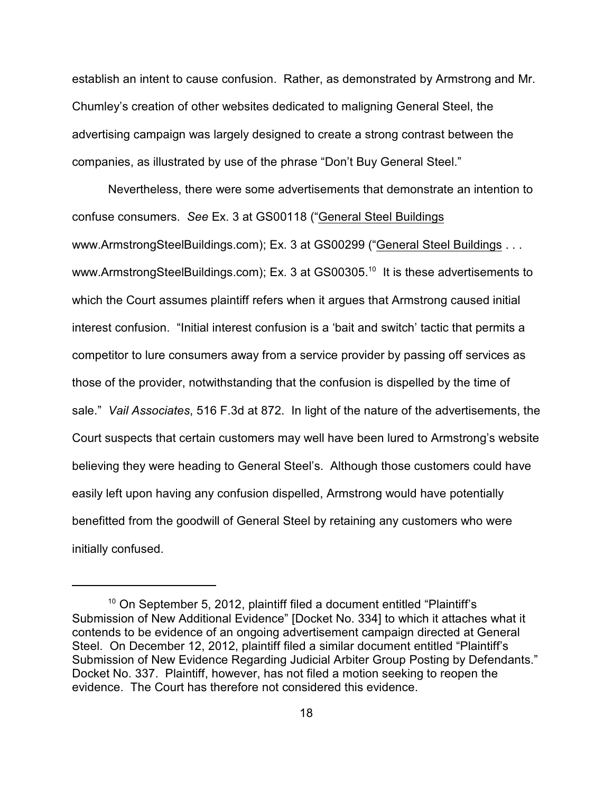establish an intent to cause confusion. Rather, as demonstrated by Armstrong and Mr. Chumley's creation of other websites dedicated to maligning General Steel, the advertising campaign was largely designed to create a strong contrast between the companies, as illustrated by use of the phrase "Don't Buy General Steel."

Nevertheless, there were some advertisements that demonstrate an intention to confuse consumers. *See* Ex. 3 at GS00118 ("General Steel Buildings www.ArmstrongSteelBuildings.com); Ex. 3 at GS00299 ("General Steel Buildings . . . www.ArmstrongSteelBuildings.com); Ex. 3 at GS00305. $^{\rm 10}$  It is these advertisements to which the Court assumes plaintiff refers when it argues that Armstrong caused initial interest confusion. "Initial interest confusion is a 'bait and switch' tactic that permits a competitor to lure consumers away from a service provider by passing off services as those of the provider, notwithstanding that the confusion is dispelled by the time of sale." *Vail Associates*, 516 F.3d at 872. In light of the nature of the advertisements, the Court suspects that certain customers may well have been lured to Armstrong's website believing they were heading to General Steel's. Although those customers could have easily left upon having any confusion dispelled, Armstrong would have potentially benefitted from the goodwill of General Steel by retaining any customers who were initially confused.

 $10$  On September 5, 2012, plaintiff filed a document entitled "Plaintiff's Submission of New Additional Evidence" [Docket No. 334] to which it attaches what it contends to be evidence of an ongoing advertisement campaign directed at General Steel. On December 12, 2012, plaintiff filed a similar document entitled "Plaintiff's Submission of New Evidence Regarding Judicial Arbiter Group Posting by Defendants." Docket No. 337. Plaintiff, however, has not filed a motion seeking to reopen the evidence. The Court has therefore not considered this evidence.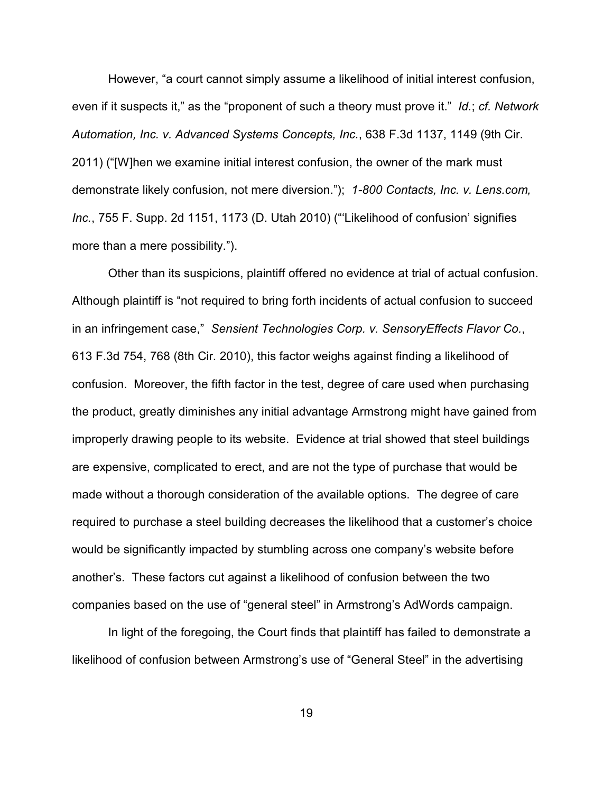However, "a court cannot simply assume a likelihood of initial interest confusion, even if it suspects it," as the "proponent of such a theory must prove it." *Id.*; *cf. Network Automation, Inc. v. Advanced Systems Concepts, Inc.*, 638 F.3d 1137, 1149 (9th Cir. 2011) ("[W]hen we examine initial interest confusion, the owner of the mark must demonstrate likely confusion, not mere diversion."); *1-800 Contacts, Inc. v. Lens.com, Inc.*, 755 F. Supp. 2d 1151, 1173 (D. Utah 2010) ("'Likelihood of confusion' signifies more than a mere possibility.").

Other than its suspicions, plaintiff offered no evidence at trial of actual confusion. Although plaintiff is "not required to bring forth incidents of actual confusion to succeed in an infringement case," *Sensient Technologies Corp. v. SensoryEffects Flavor Co.*, 613 F.3d 754, 768 (8th Cir. 2010), this factor weighs against finding a likelihood of confusion. Moreover, the fifth factor in the test, degree of care used when purchasing the product, greatly diminishes any initial advantage Armstrong might have gained from improperly drawing people to its website. Evidence at trial showed that steel buildings are expensive, complicated to erect, and are not the type of purchase that would be made without a thorough consideration of the available options. The degree of care required to purchase a steel building decreases the likelihood that a customer's choice would be significantly impacted by stumbling across one company's website before another's. These factors cut against a likelihood of confusion between the two companies based on the use of "general steel" in Armstrong's AdWords campaign.

In light of the foregoing, the Court finds that plaintiff has failed to demonstrate a likelihood of confusion between Armstrong's use of "General Steel" in the advertising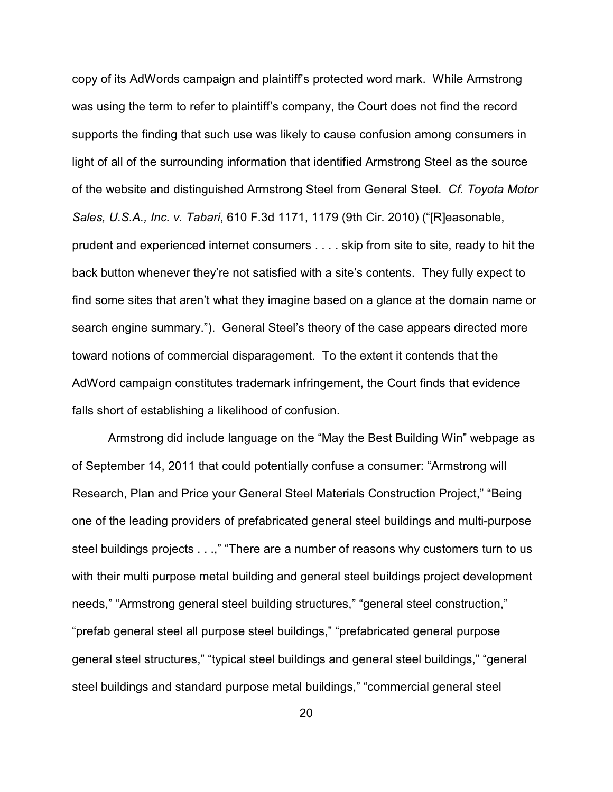copy of its AdWords campaign and plaintiff's protected word mark. While Armstrong was using the term to refer to plaintiff's company, the Court does not find the record supports the finding that such use was likely to cause confusion among consumers in light of all of the surrounding information that identified Armstrong Steel as the source of the website and distinguished Armstrong Steel from General Steel. *Cf. Toyota Motor Sales, U.S.A., Inc. v. Tabari*, 610 F.3d 1171, 1179 (9th Cir. 2010) ("[R]easonable, prudent and experienced internet consumers . . . . skip from site to site, ready to hit the back button whenever they're not satisfied with a site's contents. They fully expect to find some sites that aren't what they imagine based on a glance at the domain name or search engine summary."). General Steel's theory of the case appears directed more toward notions of commercial disparagement. To the extent it contends that the AdWord campaign constitutes trademark infringement, the Court finds that evidence falls short of establishing a likelihood of confusion.

Armstrong did include language on the "May the Best Building Win" webpage as of September 14, 2011 that could potentially confuse a consumer: "Armstrong will Research, Plan and Price your General Steel Materials Construction Project," "Being one of the leading providers of prefabricated general steel buildings and multi-purpose steel buildings projects . . .," "There are a number of reasons why customers turn to us with their multi purpose metal building and general steel buildings project development needs," "Armstrong general steel building structures," "general steel construction," "prefab general steel all purpose steel buildings," "prefabricated general purpose general steel structures," "typical steel buildings and general steel buildings," "general steel buildings and standard purpose metal buildings," "commercial general steel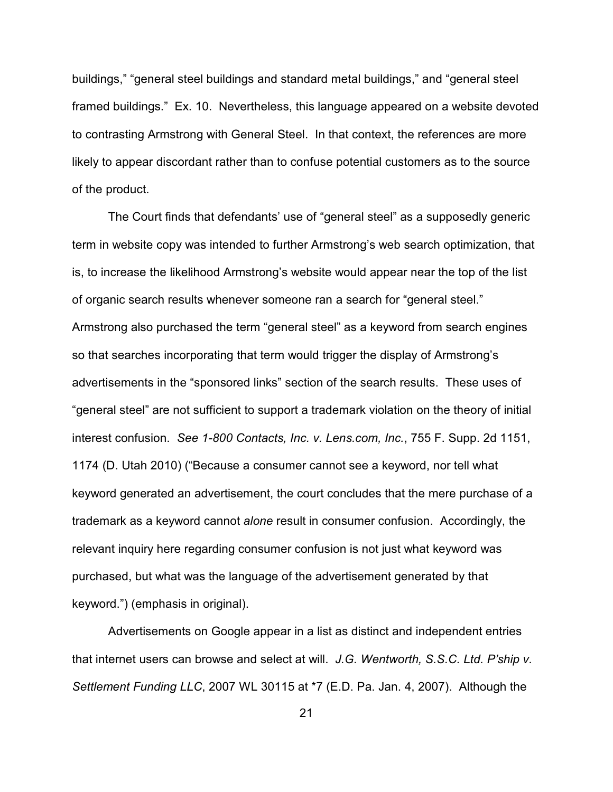buildings," "general steel buildings and standard metal buildings," and "general steel framed buildings." Ex. 10. Nevertheless, this language appeared on a website devoted to contrasting Armstrong with General Steel. In that context, the references are more likely to appear discordant rather than to confuse potential customers as to the source of the product.

The Court finds that defendants' use of "general steel" as a supposedly generic term in website copy was intended to further Armstrong's web search optimization, that is, to increase the likelihood Armstrong's website would appear near the top of the list of organic search results whenever someone ran a search for "general steel." Armstrong also purchased the term "general steel" as a keyword from search engines so that searches incorporating that term would trigger the display of Armstrong's advertisements in the "sponsored links" section of the search results. These uses of "general steel" are not sufficient to support a trademark violation on the theory of initial interest confusion. *See 1-800 Contacts, Inc. v. Lens.com, Inc.*, 755 F. Supp. 2d 1151, 1174 (D. Utah 2010) ("Because a consumer cannot see a keyword, nor tell what keyword generated an advertisement, the court concludes that the mere purchase of a trademark as a keyword cannot *alone* result in consumer confusion. Accordingly, the relevant inquiry here regarding consumer confusion is not just what keyword was purchased, but what was the language of the advertisement generated by that keyword.") (emphasis in original).

Advertisements on Google appear in a list as distinct and independent entries that internet users can browse and select at will. *J.G. Wentworth, S.S.C. Ltd. P'ship v. Settlement Funding LLC*, 2007 WL 30115 at \*7 (E.D. Pa. Jan. 4, 2007). Although the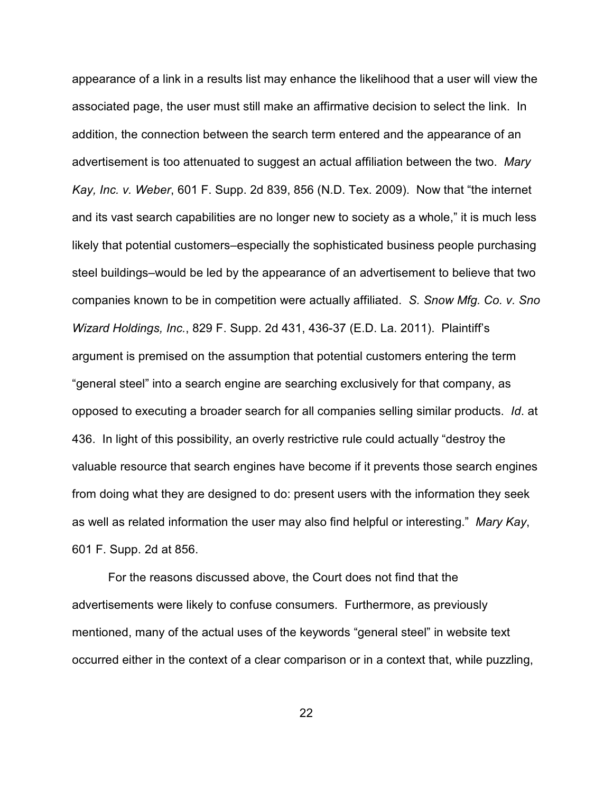appearance of a link in a results list may enhance the likelihood that a user will view the associated page, the user must still make an affirmative decision to select the link. In addition, the connection between the search term entered and the appearance of an advertisement is too attenuated to suggest an actual affiliation between the two. *Mary Kay, Inc. v. Weber*, 601 F. Supp. 2d 839, 856 (N.D. Tex. 2009). Now that "the internet and its vast search capabilities are no longer new to society as a whole," it is much less likely that potential customers–especially the sophisticated business people purchasing steel buildings–would be led by the appearance of an advertisement to believe that two companies known to be in competition were actually affiliated. *S. Snow Mfg. Co. v. Sno Wizard Holdings, Inc.*, 829 F. Supp. 2d 431, 436-37 (E.D. La. 2011). Plaintiff's argument is premised on the assumption that potential customers entering the term "general steel" into a search engine are searching exclusively for that company, as opposed to executing a broader search for all companies selling similar products. *Id*. at 436. In light of this possibility, an overly restrictive rule could actually "destroy the valuable resource that search engines have become if it prevents those search engines from doing what they are designed to do: present users with the information they seek as well as related information the user may also find helpful or interesting." *Mary Kay*, 601 F. Supp. 2d at 856.

For the reasons discussed above, the Court does not find that the advertisements were likely to confuse consumers. Furthermore, as previously mentioned, many of the actual uses of the keywords "general steel" in website text occurred either in the context of a clear comparison or in a context that, while puzzling,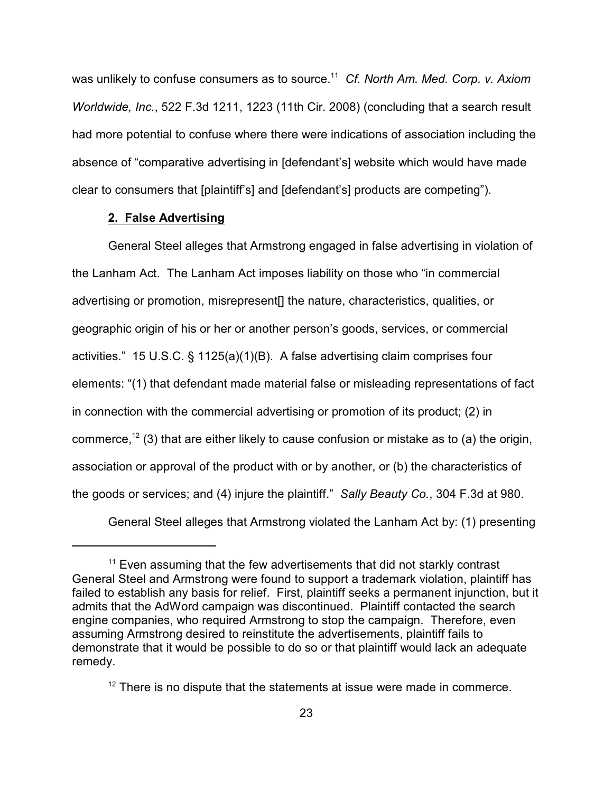was unlikely to confuse consumers as to source.<sup>11</sup> Cf. North Am. Med. Corp. v. Axiom *Worldwide, Inc.*, 522 F.3d 1211, 1223 (11th Cir. 2008) (concluding that a search result had more potential to confuse where there were indications of association including the absence of "comparative advertising in [defendant's] website which would have made clear to consumers that [plaintiff's] and [defendant's] products are competing").

## **2. False Advertising**

General Steel alleges that Armstrong engaged in false advertising in violation of the Lanham Act. The Lanham Act imposes liability on those who "in commercial advertising or promotion, misrepresent[] the nature, characteristics, qualities, or geographic origin of his or her or another person's goods, services, or commercial activities." 15 U.S.C. § 1125(a)(1)(B). A false advertising claim comprises four elements: "(1) that defendant made material false or misleading representations of fact in connection with the commercial advertising or promotion of its product; (2) in commerce,<sup>12</sup> (3) that are either likely to cause confusion or mistake as to (a) the origin, association or approval of the product with or by another, or (b) the characteristics of the goods or services; and (4) injure the plaintiff." *Sally Beauty Co.*, 304 F.3d at 980.

General Steel alleges that Armstrong violated the Lanham Act by: (1) presenting

 $11$  Even assuming that the few advertisements that did not starkly contrast General Steel and Armstrong were found to support a trademark violation, plaintiff has failed to establish any basis for relief. First, plaintiff seeks a permanent injunction, but it admits that the AdWord campaign was discontinued. Plaintiff contacted the search engine companies, who required Armstrong to stop the campaign. Therefore, even assuming Armstrong desired to reinstitute the advertisements, plaintiff fails to demonstrate that it would be possible to do so or that plaintiff would lack an adequate remedy.

 $12$  There is no dispute that the statements at issue were made in commerce.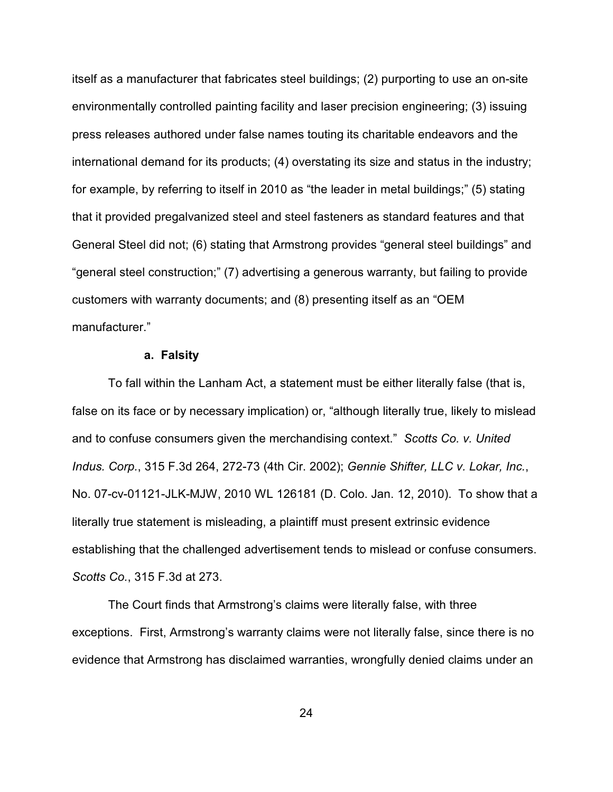itself as a manufacturer that fabricates steel buildings; (2) purporting to use an on-site environmentally controlled painting facility and laser precision engineering; (3) issuing press releases authored under false names touting its charitable endeavors and the international demand for its products; (4) overstating its size and status in the industry; for example, by referring to itself in 2010 as "the leader in metal buildings;" (5) stating that it provided pregalvanized steel and steel fasteners as standard features and that General Steel did not; (6) stating that Armstrong provides "general steel buildings" and "general steel construction;" (7) advertising a generous warranty, but failing to provide customers with warranty documents; and (8) presenting itself as an "OEM manufacturer."

## **a. Falsity**

To fall within the Lanham Act, a statement must be either literally false (that is, false on its face or by necessary implication) or, "although literally true, likely to mislead and to confuse consumers given the merchandising context." *Scotts Co. v. United Indus. Corp.*, 315 F.3d 264, 272-73 (4th Cir. 2002); *Gennie Shifter, LLC v. Lokar, Inc.*, No. 07-cv-01121-JLK-MJW, 2010 WL 126181 (D. Colo. Jan. 12, 2010). To show that a literally true statement is misleading, a plaintiff must present extrinsic evidence establishing that the challenged advertisement tends to mislead or confuse consumers. *Scotts Co.*, 315 F.3d at 273.

The Court finds that Armstrong's claims were literally false, with three exceptions. First, Armstrong's warranty claims were not literally false, since there is no evidence that Armstrong has disclaimed warranties, wrongfully denied claims under an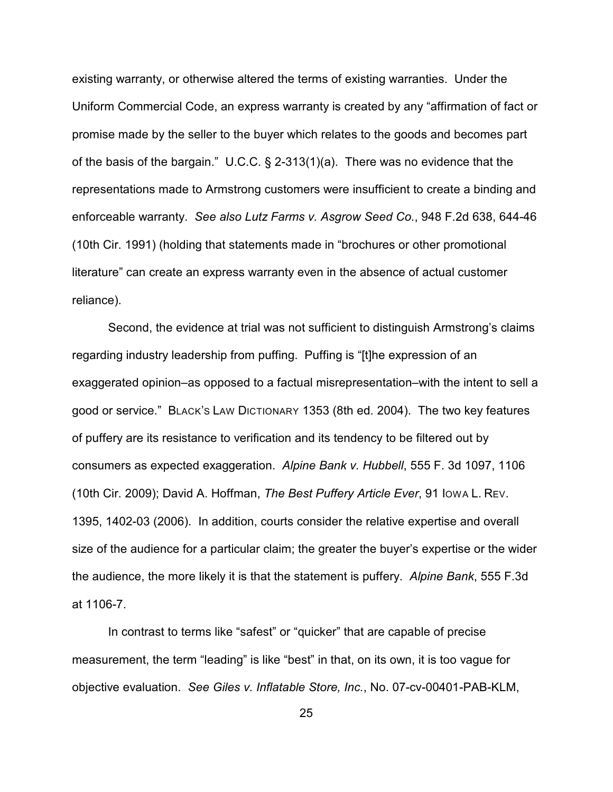existing warranty, or otherwise altered the terms of existing warranties. Under the Uniform Commercial Code, an express warranty is created by any "affirmation of fact or promise made by the seller to the buyer which relates to the goods and becomes part of the basis of the bargain." U.C.C. § 2-313(1)(a). There was no evidence that the representations made to Armstrong customers were insufficient to create a binding and enforceable warranty. *See also Lutz Farms v. Asgrow Seed Co.*, 948 F.2d 638, 644-46 (10th Cir. 1991) (holding that statements made in "brochures or other promotional literature" can create an express warranty even in the absence of actual customer reliance).

Second, the evidence at trial was not sufficient to distinguish Armstrong's claims regarding industry leadership from puffing. Puffing is "[t]he expression of an exaggerated opinion–as opposed to a factual misrepresentation–with the intent to sell a good or service." BLACK'S LAW DICTIONARY 1353 (8th ed. 2004). The two key features of puffery are its resistance to verification and its tendency to be filtered out by consumers as expected exaggeration. *Alpine Bank v. Hubbell*, 555 F. 3d 1097, 1106 (10th Cir. 2009); David A. Hoffman, *The Best Puffery Article Ever*, 91 IOWA L. REV. 1395, 1402-03 (2006). In addition, courts consider the relative expertise and overall size of the audience for a particular claim; the greater the buyer's expertise or the wider the audience, the more likely it is that the statement is puffery. *Alpine Bank*, 555 F.3d at 1106-7.

In contrast to terms like "safest" or "quicker" that are capable of precise measurement, the term "leading" is like "best" in that, on its own, it is too vague for objective evaluation. *See Giles v. Inflatable Store, Inc.*, No. 07-cv-00401-PAB-KLM,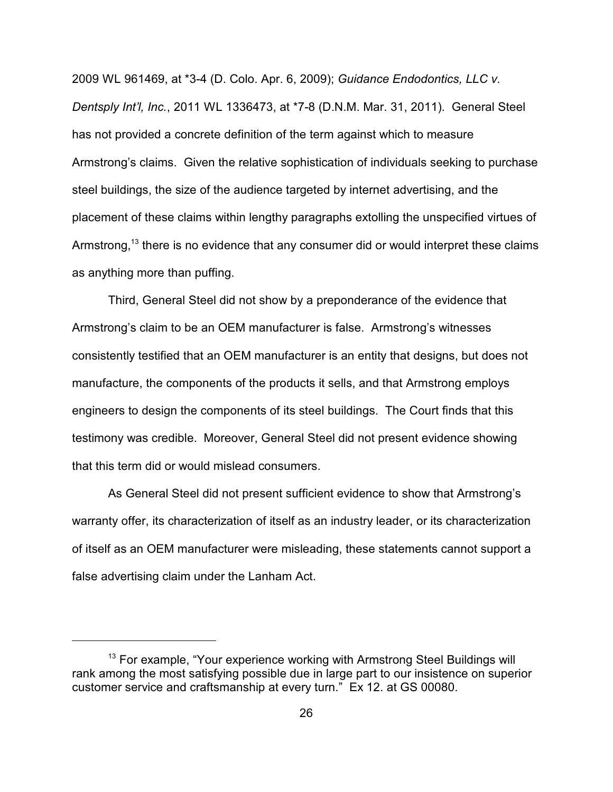2009 WL 961469, at \*3-4 (D. Colo. Apr. 6, 2009); *Guidance Endodontics, LLC v. Dentsply Int'l, Inc.*, 2011 WL 1336473, at \*7-8 (D.N.M. Mar. 31, 2011). General Steel has not provided a concrete definition of the term against which to measure Armstrong's claims. Given the relative sophistication of individuals seeking to purchase steel buildings, the size of the audience targeted by internet advertising, and the placement of these claims within lengthy paragraphs extolling the unspecified virtues of Armstrong,  $13$  there is no evidence that any consumer did or would interpret these claims as anything more than puffing.

Third, General Steel did not show by a preponderance of the evidence that Armstrong's claim to be an OEM manufacturer is false. Armstrong's witnesses consistently testified that an OEM manufacturer is an entity that designs, but does not manufacture, the components of the products it sells, and that Armstrong employs engineers to design the components of its steel buildings. The Court finds that this testimony was credible. Moreover, General Steel did not present evidence showing that this term did or would mislead consumers.

As General Steel did not present sufficient evidence to show that Armstrong's warranty offer, its characterization of itself as an industry leader, or its characterization of itself as an OEM manufacturer were misleading, these statements cannot support a false advertising claim under the Lanham Act.

 $13$  For example, "Your experience working with Armstrong Steel Buildings will rank among the most satisfying possible due in large part to our insistence on superior customer service and craftsmanship at every turn." Ex 12. at GS 00080.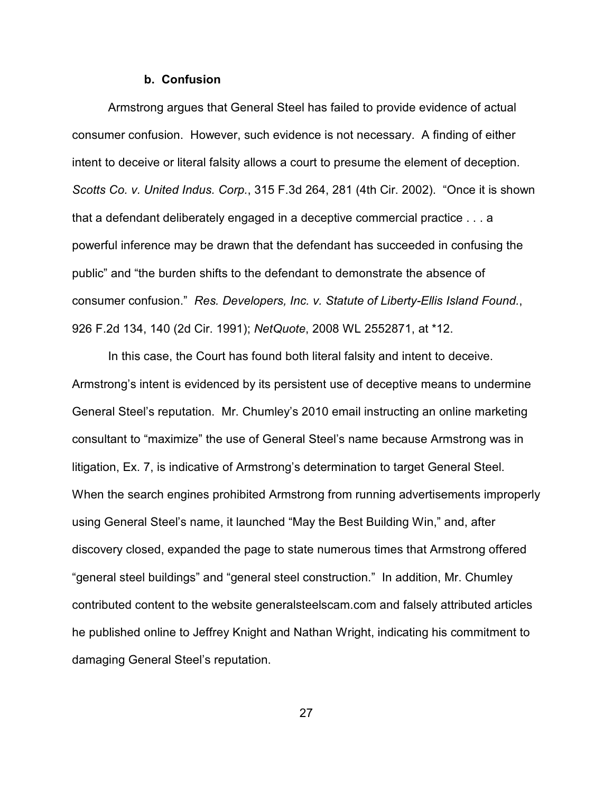### **b. Confusion**

Armstrong argues that General Steel has failed to provide evidence of actual consumer confusion. However, such evidence is not necessary. A finding of either intent to deceive or literal falsity allows a court to presume the element of deception. *Scotts Co. v. United Indus. Corp.*, 315 F.3d 264, 281 (4th Cir. 2002). "Once it is shown that a defendant deliberately engaged in a deceptive commercial practice . . . a powerful inference may be drawn that the defendant has succeeded in confusing the public" and "the burden shifts to the defendant to demonstrate the absence of consumer confusion." *Res. Developers, Inc. v. Statute of Liberty-Ellis Island Found.*, 926 F.2d 134, 140 (2d Cir. 1991); *NetQuote*, 2008 WL 2552871, at \*12.

In this case, the Court has found both literal falsity and intent to deceive. Armstrong's intent is evidenced by its persistent use of deceptive means to undermine General Steel's reputation. Mr. Chumley's 2010 email instructing an online marketing consultant to "maximize" the use of General Steel's name because Armstrong was in litigation, Ex. 7, is indicative of Armstrong's determination to target General Steel. When the search engines prohibited Armstrong from running advertisements improperly using General Steel's name, it launched "May the Best Building Win," and, after discovery closed, expanded the page to state numerous times that Armstrong offered "general steel buildings" and "general steel construction." In addition, Mr. Chumley contributed content to the website generalsteelscam.com and falsely attributed articles he published online to Jeffrey Knight and Nathan Wright, indicating his commitment to damaging General Steel's reputation.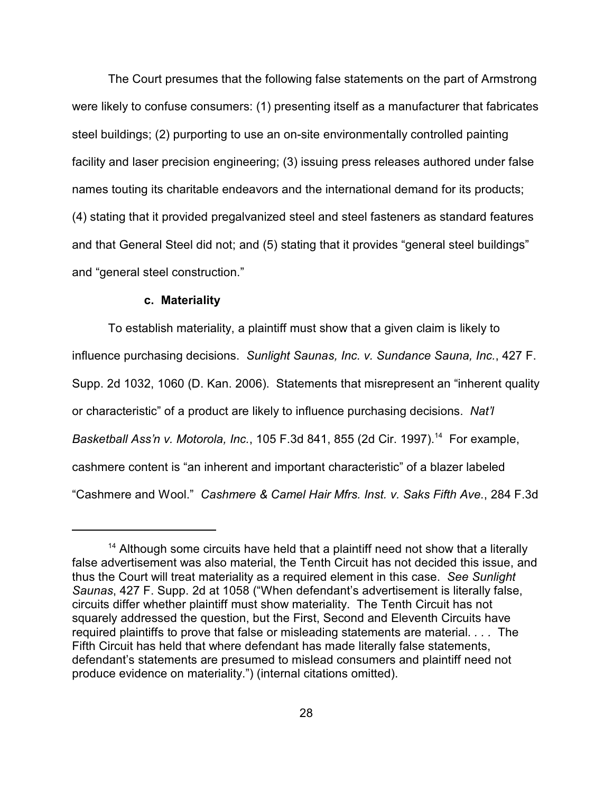The Court presumes that the following false statements on the part of Armstrong were likely to confuse consumers: (1) presenting itself as a manufacturer that fabricates steel buildings; (2) purporting to use an on-site environmentally controlled painting facility and laser precision engineering; (3) issuing press releases authored under false names touting its charitable endeavors and the international demand for its products; (4) stating that it provided pregalvanized steel and steel fasteners as standard features and that General Steel did not; and (5) stating that it provides "general steel buildings" and "general steel construction."

#### **c. Materiality**

To establish materiality, a plaintiff must show that a given claim is likely to influence purchasing decisions. *Sunlight Saunas, Inc. v. Sundance Sauna, Inc.*, 427 F. Supp. 2d 1032, 1060 (D. Kan. 2006). Statements that misrepresent an "inherent quality or characteristic" of a product are likely to influence purchasing decisions. *Nat'l Basketball Ass'n v. Motorola, Inc.*, 105 F.3d 841, 855 (2d Cir. 1997).<sup>14</sup> For example, cashmere content is "an inherent and important characteristic" of a blazer labeled "Cashmere and Wool." *Cashmere & Camel Hair Mfrs. Inst. v. Saks Fifth Ave.*, 284 F.3d

 $14$  Although some circuits have held that a plaintiff need not show that a literally false advertisement was also material, the Tenth Circuit has not decided this issue, and thus the Court will treat materiality as a required element in this case. *See Sunlight Saunas*, 427 F. Supp. 2d at 1058 ("When defendant's advertisement is literally false, circuits differ whether plaintiff must show materiality. The Tenth Circuit has not squarely addressed the question, but the First, Second and Eleventh Circuits have required plaintiffs to prove that false or misleading statements are material. *. . .* The Fifth Circuit has held that where defendant has made literally false statements, defendant's statements are presumed to mislead consumers and plaintiff need not produce evidence on materiality.") (internal citations omitted).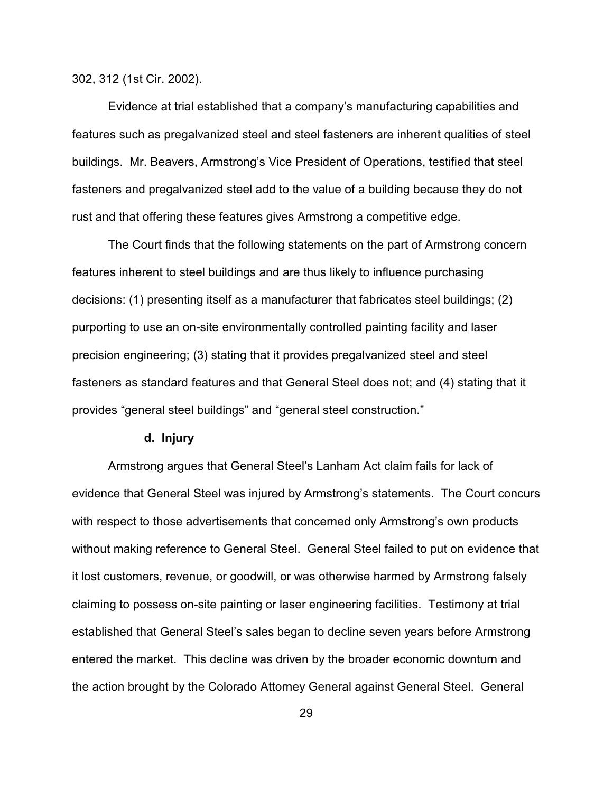302, 312 (1st Cir. 2002).

Evidence at trial established that a company's manufacturing capabilities and features such as pregalvanized steel and steel fasteners are inherent qualities of steel buildings. Mr. Beavers, Armstrong's Vice President of Operations, testified that steel fasteners and pregalvanized steel add to the value of a building because they do not rust and that offering these features gives Armstrong a competitive edge.

The Court finds that the following statements on the part of Armstrong concern features inherent to steel buildings and are thus likely to influence purchasing decisions: (1) presenting itself as a manufacturer that fabricates steel buildings; (2) purporting to use an on-site environmentally controlled painting facility and laser precision engineering; (3) stating that it provides pregalvanized steel and steel fasteners as standard features and that General Steel does not; and (4) stating that it provides "general steel buildings" and "general steel construction."

#### **d. Injury**

Armstrong argues that General Steel's Lanham Act claim fails for lack of evidence that General Steel was injured by Armstrong's statements. The Court concurs with respect to those advertisements that concerned only Armstrong's own products without making reference to General Steel. General Steel failed to put on evidence that it lost customers, revenue, or goodwill, or was otherwise harmed by Armstrong falsely claiming to possess on-site painting or laser engineering facilities. Testimony at trial established that General Steel's sales began to decline seven years before Armstrong entered the market. This decline was driven by the broader economic downturn and the action brought by the Colorado Attorney General against General Steel. General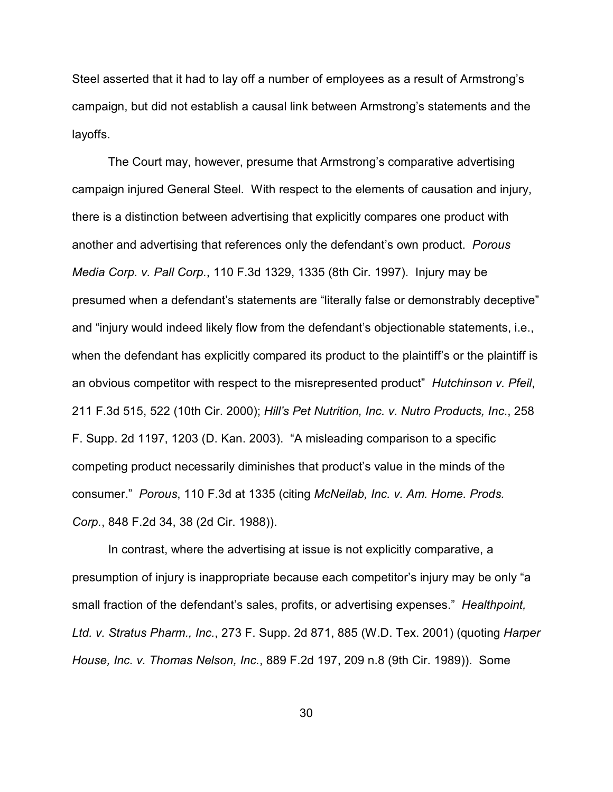Steel asserted that it had to lay off a number of employees as a result of Armstrong's campaign, but did not establish a causal link between Armstrong's statements and the layoffs.

The Court may, however, presume that Armstrong's comparative advertising campaign injured General Steel. With respect to the elements of causation and injury, there is a distinction between advertising that explicitly compares one product with another and advertising that references only the defendant's own product. *Porous Media Corp. v. Pall Corp.*, 110 F.3d 1329, 1335 (8th Cir. 1997). Injury may be presumed when a defendant's statements are "literally false or demonstrably deceptive" and "injury would indeed likely flow from the defendant's objectionable statements, i.e., when the defendant has explicitly compared its product to the plaintiff's or the plaintiff is an obvious competitor with respect to the misrepresented product" *Hutchinson v. Pfeil*, 211 F.3d 515, 522 (10th Cir. 2000); *Hill's Pet Nutrition, Inc. v. Nutro Products, Inc*., 258 F. Supp. 2d 1197, 1203 (D. Kan. 2003). "A misleading comparison to a specific competing product necessarily diminishes that product's value in the minds of the consumer." *Porous*, 110 F.3d at 1335 (citing *McNeilab, Inc. v. Am. Home. Prods. Corp.*, 848 F.2d 34, 38 (2d Cir. 1988)).

In contrast, where the advertising at issue is not explicitly comparative, a presumption of injury is inappropriate because each competitor's injury may be only "a small fraction of the defendant's sales, profits, or advertising expenses." *Healthpoint, Ltd. v. Stratus Pharm., Inc.*, 273 F. Supp. 2d 871, 885 (W.D. Tex. 2001) (quoting *Harper House, Inc. v. Thomas Nelson, Inc.*, 889 F.2d 197, 209 n.8 (9th Cir. 1989)). Some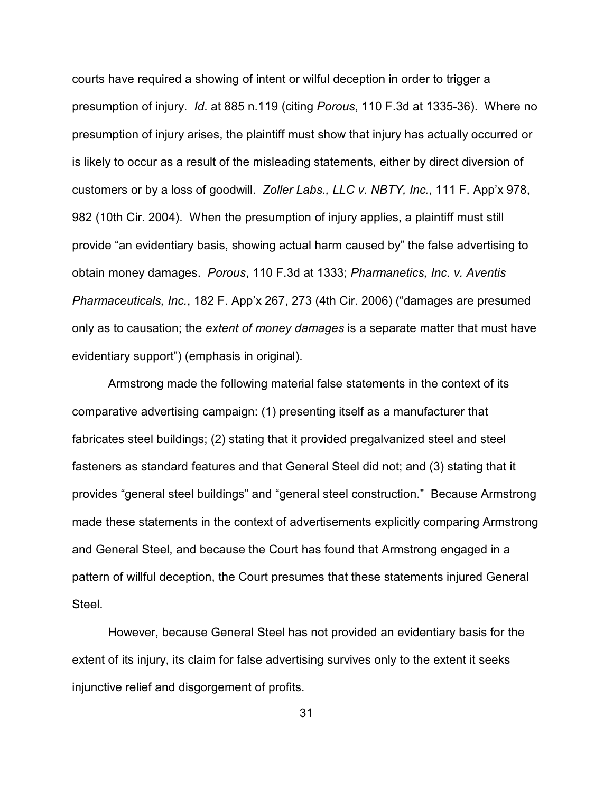courts have required a showing of intent or wilful deception in order to trigger a presumption of injury. *Id*. at 885 n.119 (citing *Porous*, 110 F.3d at 1335-36). Where no presumption of injury arises, the plaintiff must show that injury has actually occurred or is likely to occur as a result of the misleading statements, either by direct diversion of customers or by a loss of goodwill. *Zoller Labs., LLC v. NBTY, Inc.*, 111 F. App'x 978, 982 (10th Cir. 2004). When the presumption of injury applies, a plaintiff must still provide "an evidentiary basis, showing actual harm caused by" the false advertising to obtain money damages. *Porous*, 110 F.3d at 1333; *Pharmanetics, Inc. v. Aventis Pharmaceuticals, Inc.*, 182 F. App'x 267, 273 (4th Cir. 2006) ("damages are presumed only as to causation; the *extent of money damages* is a separate matter that must have evidentiary support") (emphasis in original).

Armstrong made the following material false statements in the context of its comparative advertising campaign: (1) presenting itself as a manufacturer that fabricates steel buildings; (2) stating that it provided pregalvanized steel and steel fasteners as standard features and that General Steel did not; and (3) stating that it provides "general steel buildings" and "general steel construction." Because Armstrong made these statements in the context of advertisements explicitly comparing Armstrong and General Steel, and because the Court has found that Armstrong engaged in a pattern of willful deception, the Court presumes that these statements injured General Steel.

However, because General Steel has not provided an evidentiary basis for the extent of its injury, its claim for false advertising survives only to the extent it seeks injunctive relief and disgorgement of profits.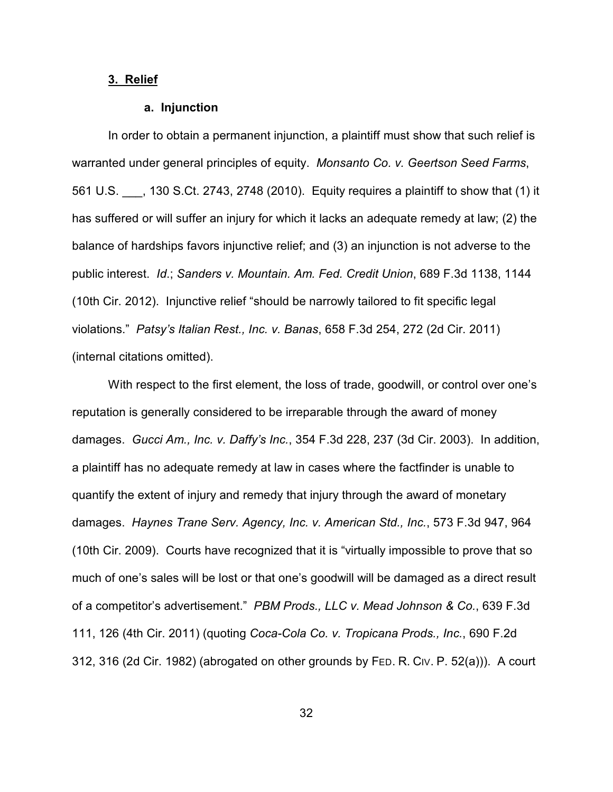## **3. Relief**

#### **a. Injunction**

In order to obtain a permanent injunction, a plaintiff must show that such relief is warranted under general principles of equity. *Monsanto Co. v. Geertson Seed Farms*, 561 U.S. \_\_\_, 130 S.Ct. 2743, 2748 (2010). Equity requires a plaintiff to show that (1) it has suffered or will suffer an injury for which it lacks an adequate remedy at law; (2) the balance of hardships favors injunctive relief; and (3) an injunction is not adverse to the public interest. *Id*.; *Sanders v. Mountain. Am. Fed. Credit Union*, 689 F.3d 1138, 1144 (10th Cir. 2012). Injunctive relief "should be narrowly tailored to fit specific legal violations." *Patsy's Italian Rest., Inc. v. Banas*, 658 F.3d 254, 272 (2d Cir. 2011) (internal citations omitted).

With respect to the first element, the loss of trade, goodwill, or control over one's reputation is generally considered to be irreparable through the award of money damages. *Gucci Am., Inc. v. Daffy's Inc.*, 354 F.3d 228, 237 (3d Cir. 2003). In addition, a plaintiff has no adequate remedy at law in cases where the factfinder is unable to quantify the extent of injury and remedy that injury through the award of monetary damages. *Haynes Trane Serv. Agency, Inc. v. American Std., Inc.*, 573 F.3d 947, 964 (10th Cir. 2009). Courts have recognized that it is "virtually impossible to prove that so much of one's sales will be lost or that one's goodwill will be damaged as a direct result of a competitor's advertisement." *PBM Prods., LLC v. Mead Johnson & Co.*, 639 F.3d 111, 126 (4th Cir. 2011) (quoting *Coca-Cola Co. v. Tropicana Prods., Inc.*, 690 F.2d 312, 316 (2d Cir. 1982) (abrogated on other grounds by FED. R. CIV. P. 52(a))). A court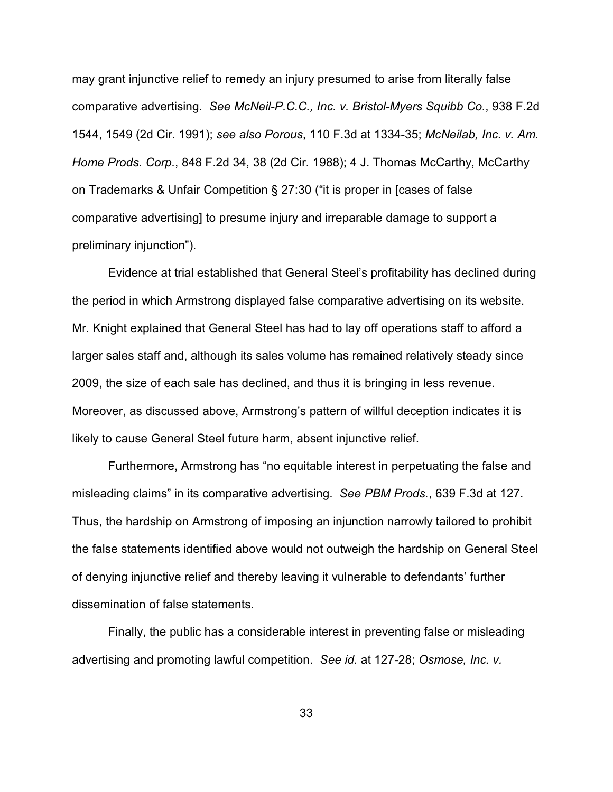may grant injunctive relief to remedy an injury presumed to arise from literally false comparative advertising. *See McNeil-P.C.C., Inc. v. Bristol-Myers Squibb Co.*, 938 F.2d 1544, 1549 (2d Cir. 1991); *see also Porous*, 110 F.3d at 1334-35; *McNeilab, Inc. v. Am. Home Prods. Corp.*, 848 F.2d 34, 38 (2d Cir. 1988); 4 J. Thomas McCarthy, McCarthy on Trademarks & Unfair Competition § 27:30 ("it is proper in [cases of false comparative advertising] to presume injury and irreparable damage to support a preliminary injunction").

Evidence at trial established that General Steel's profitability has declined during the period in which Armstrong displayed false comparative advertising on its website. Mr. Knight explained that General Steel has had to lay off operations staff to afford a larger sales staff and, although its sales volume has remained relatively steady since 2009, the size of each sale has declined, and thus it is bringing in less revenue. Moreover, as discussed above, Armstrong's pattern of willful deception indicates it is likely to cause General Steel future harm, absent injunctive relief.

Furthermore, Armstrong has "no equitable interest in perpetuating the false and misleading claims" in its comparative advertising. *See PBM Prods.*, 639 F.3d at 127. Thus, the hardship on Armstrong of imposing an injunction narrowly tailored to prohibit the false statements identified above would not outweigh the hardship on General Steel of denying injunctive relief and thereby leaving it vulnerable to defendants' further dissemination of false statements.

Finally, the public has a considerable interest in preventing false or misleading advertising and promoting lawful competition. *See id.* at 127-28; *Osmose, Inc. v.*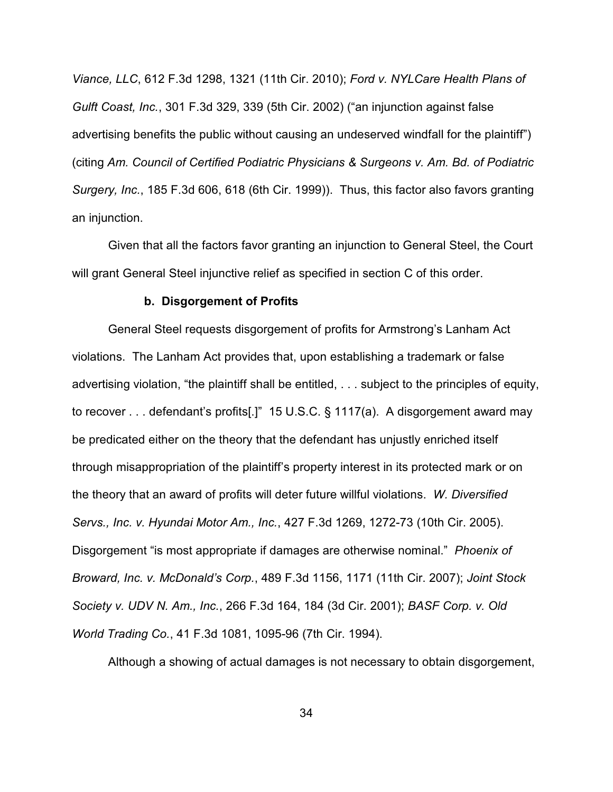*Viance, LLC*, 612 F.3d 1298, 1321 (11th Cir. 2010); *Ford v. NYLCare Health Plans of Gulft Coast, Inc.*, 301 F.3d 329, 339 (5th Cir. 2002) ("an injunction against false advertising benefits the public without causing an undeserved windfall for the plaintiff") (citing *Am. Council of Certified Podiatric Physicians & Surgeons v. Am. Bd. of Podiatric Surgery, Inc.*, 185 F.3d 606, 618 (6th Cir. 1999)). Thus, this factor also favors granting an injunction.

Given that all the factors favor granting an injunction to General Steel, the Court will grant General Steel injunctive relief as specified in section C of this order.

#### **b. Disgorgement of Profits**

General Steel requests disgorgement of profits for Armstrong's Lanham Act violations. The Lanham Act provides that, upon establishing a trademark or false advertising violation, "the plaintiff shall be entitled, . . . subject to the principles of equity, to recover . . . defendant's profits[.]" 15 U.S.C. § 1117(a). A disgorgement award may be predicated either on the theory that the defendant has unjustly enriched itself through misappropriation of the plaintiff's property interest in its protected mark or on the theory that an award of profits will deter future willful violations. *W. Diversified Servs., Inc. v. Hyundai Motor Am., Inc.*, 427 F.3d 1269, 1272-73 (10th Cir. 2005). Disgorgement "is most appropriate if damages are otherwise nominal." *Phoenix of Broward, Inc. v. McDonald's Corp.*, 489 F.3d 1156, 1171 (11th Cir. 2007); *Joint Stock Society v. UDV N. Am., Inc.*, 266 F.3d 164, 184 (3d Cir. 2001); *BASF Corp. v. Old World Trading Co.*, 41 F.3d 1081, 1095-96 (7th Cir. 1994).

Although a showing of actual damages is not necessary to obtain disgorgement,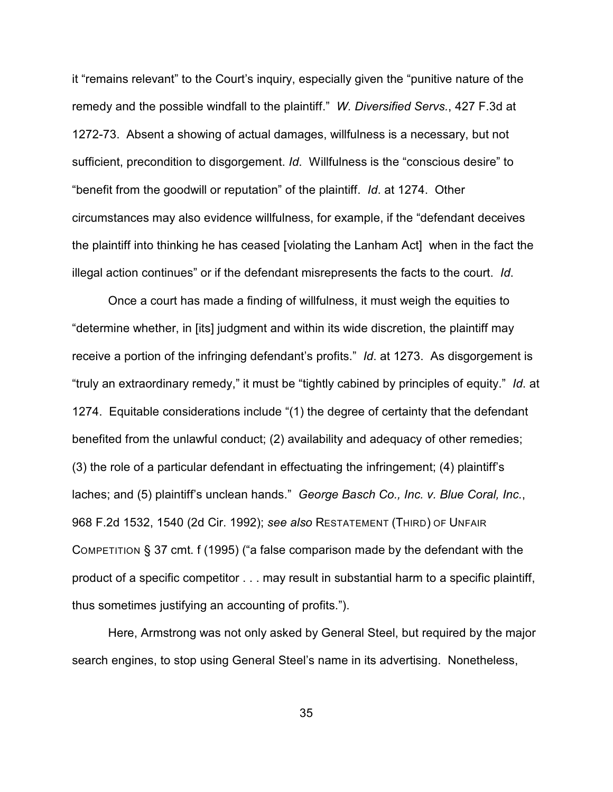it "remains relevant" to the Court's inquiry, especially given the "punitive nature of the remedy and the possible windfall to the plaintiff." *W. Diversified Servs.*, 427 F.3d at 1272-73. Absent a showing of actual damages, willfulness is a necessary, but not sufficient, precondition to disgorgement. *Id*. Willfulness is the "conscious desire" to "benefit from the goodwill or reputation" of the plaintiff. *Id*. at 1274. Other circumstances may also evidence willfulness, for example, if the "defendant deceives the plaintiff into thinking he has ceased [violating the Lanham Act] when in the fact the illegal action continues" or if the defendant misrepresents the facts to the court. *Id*.

Once a court has made a finding of willfulness, it must weigh the equities to "determine whether, in [its] judgment and within its wide discretion, the plaintiff may receive a portion of the infringing defendant's profits." *Id*. at 1273. As disgorgement is "truly an extraordinary remedy," it must be "tightly cabined by principles of equity." *Id*. at 1274. Equitable considerations include "(1) the degree of certainty that the defendant benefited from the unlawful conduct; (2) availability and adequacy of other remedies; (3) the role of a particular defendant in effectuating the infringement; (4) plaintiff's laches; and (5) plaintiff's unclean hands." *George Basch Co., Inc. v. Blue Coral, Inc.*, 968 F.2d 1532, 1540 (2d Cir. 1992); *see also* RESTATEMENT (THIRD) OF UNFAIR COMPETITION § 37 cmt. f (1995) ("a false comparison made by the defendant with the product of a specific competitor . . . may result in substantial harm to a specific plaintiff, thus sometimes justifying an accounting of profits.").

Here, Armstrong was not only asked by General Steel, but required by the major search engines, to stop using General Steel's name in its advertising. Nonetheless,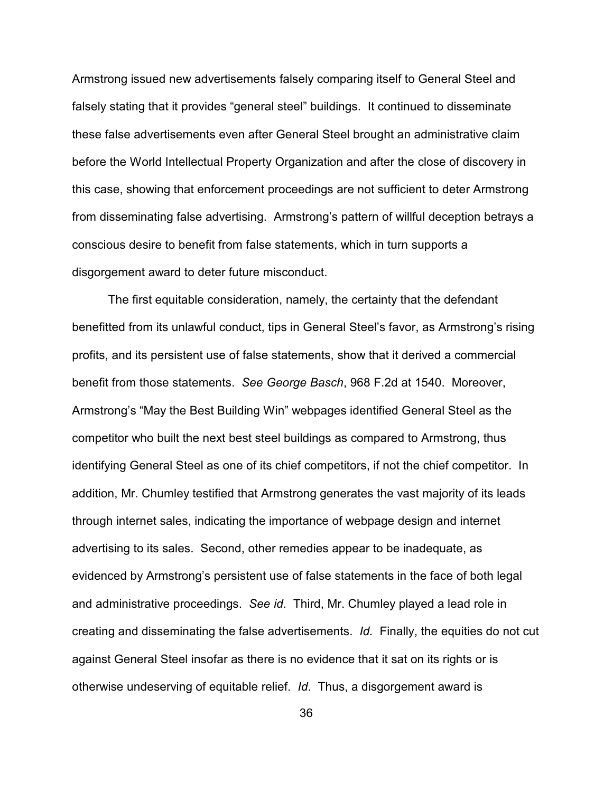Armstrong issued new advertisements falsely comparing itself to General Steel and falsely stating that it provides "general steel" buildings. It continued to disseminate these false advertisements even after General Steel brought an administrative claim before the World Intellectual Property Organization and after the close of discovery in this case, showing that enforcement proceedings are not sufficient to deter Armstrong from disseminating false advertising. Armstrong's pattern of willful deception betrays a conscious desire to benefit from false statements, which in turn supports a disgorgement award to deter future misconduct.

The first equitable consideration, namely, the certainty that the defendant benefitted from its unlawful conduct, tips in General Steel's favor, as Armstrong's rising profits, and its persistent use of false statements, show that it derived a commercial benefit from those statements. *See George Basch*, 968 F.2d at 1540. Moreover, Armstrong's "May the Best Building Win" webpages identified General Steel as the competitor who built the next best steel buildings as compared to Armstrong, thus identifying General Steel as one of its chief competitors, if not the chief competitor. In addition, Mr. Chumley testified that Armstrong generates the vast majority of its leads through internet sales, indicating the importance of webpage design and internet advertising to its sales. Second, other remedies appear to be inadequate, as evidenced by Armstrong's persistent use of false statements in the face of both legal and administrative proceedings. *See id*. Third, Mr. Chumley played a lead role in creating and disseminating the false advertisements. *Id.* Finally, the equities do not cut against General Steel insofar as there is no evidence that it sat on its rights or is otherwise undeserving of equitable relief. *Id*. Thus, a disgorgement award is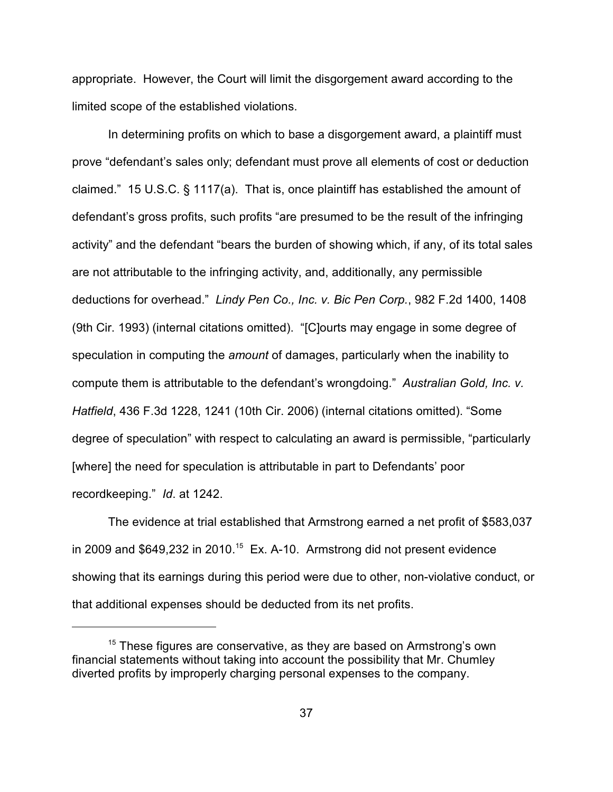appropriate. However, the Court will limit the disgorgement award according to the limited scope of the established violations.

In determining profits on which to base a disgorgement award, a plaintiff must prove "defendant's sales only; defendant must prove all elements of cost or deduction claimed." 15 U.S.C. § 1117(a). That is, once plaintiff has established the amount of defendant's gross profits, such profits "are presumed to be the result of the infringing activity" and the defendant "bears the burden of showing which, if any, of its total sales are not attributable to the infringing activity, and, additionally, any permissible deductions for overhead." *Lindy Pen Co., Inc. v. Bic Pen Corp.*, 982 F.2d 1400, 1408 (9th Cir. 1993) (internal citations omitted). "[C]ourts may engage in some degree of speculation in computing the *amount* of damages, particularly when the inability to compute them is attributable to the defendant's wrongdoing." *Australian Gold, Inc. v. Hatfield*, 436 F.3d 1228, 1241 (10th Cir. 2006) (internal citations omitted). "Some degree of speculation" with respect to calculating an award is permissible, "particularly [where] the need for speculation is attributable in part to Defendants' poor recordkeeping." *Id*. at 1242.

The evidence at trial established that Armstrong earned a net profit of \$583,037 in 2009 and  $$649,232$  in 2010.<sup>15</sup> Ex. A-10. Armstrong did not present evidence showing that its earnings during this period were due to other, non-violative conduct, or that additional expenses should be deducted from its net profits.

 $15$  These figures are conservative, as they are based on Armstrong's own financial statements without taking into account the possibility that Mr. Chumley diverted profits by improperly charging personal expenses to the company.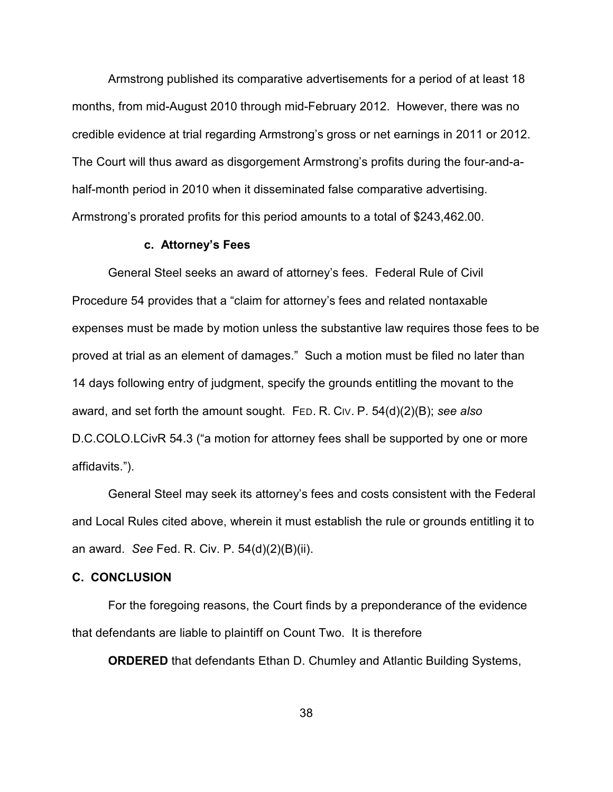Armstrong published its comparative advertisements for a period of at least 18 months, from mid-August 2010 through mid-February 2012. However, there was no credible evidence at trial regarding Armstrong's gross or net earnings in 2011 or 2012. The Court will thus award as disgorgement Armstrong's profits during the four-and-ahalf-month period in 2010 when it disseminated false comparative advertising. Armstrong's prorated profits for this period amounts to a total of \$243,462.00.

### **c. Attorney's Fees**

General Steel seeks an award of attorney's fees. Federal Rule of Civil Procedure 54 provides that a "claim for attorney's fees and related nontaxable expenses must be made by motion unless the substantive law requires those fees to be proved at trial as an element of damages." Such a motion must be filed no later than 14 days following entry of judgment, specify the grounds entitling the movant to the award, and set forth the amount sought. FED. R. CIV. P. 54(d)(2)(B); *see also* D.C.COLO.LCivR 54.3 ("a motion for attorney fees shall be supported by one or more affidavits.").

General Steel may seek its attorney's fees and costs consistent with the Federal and Local Rules cited above, wherein it must establish the rule or grounds entitling it to an award. *See* Fed. R. Civ. P. 54(d)(2)(B)(ii).

## **C. CONCLUSION**

For the foregoing reasons, the Court finds by a preponderance of the evidence that defendants are liable to plaintiff on Count Two. It is therefore

**ORDERED** that defendants Ethan D. Chumley and Atlantic Building Systems,